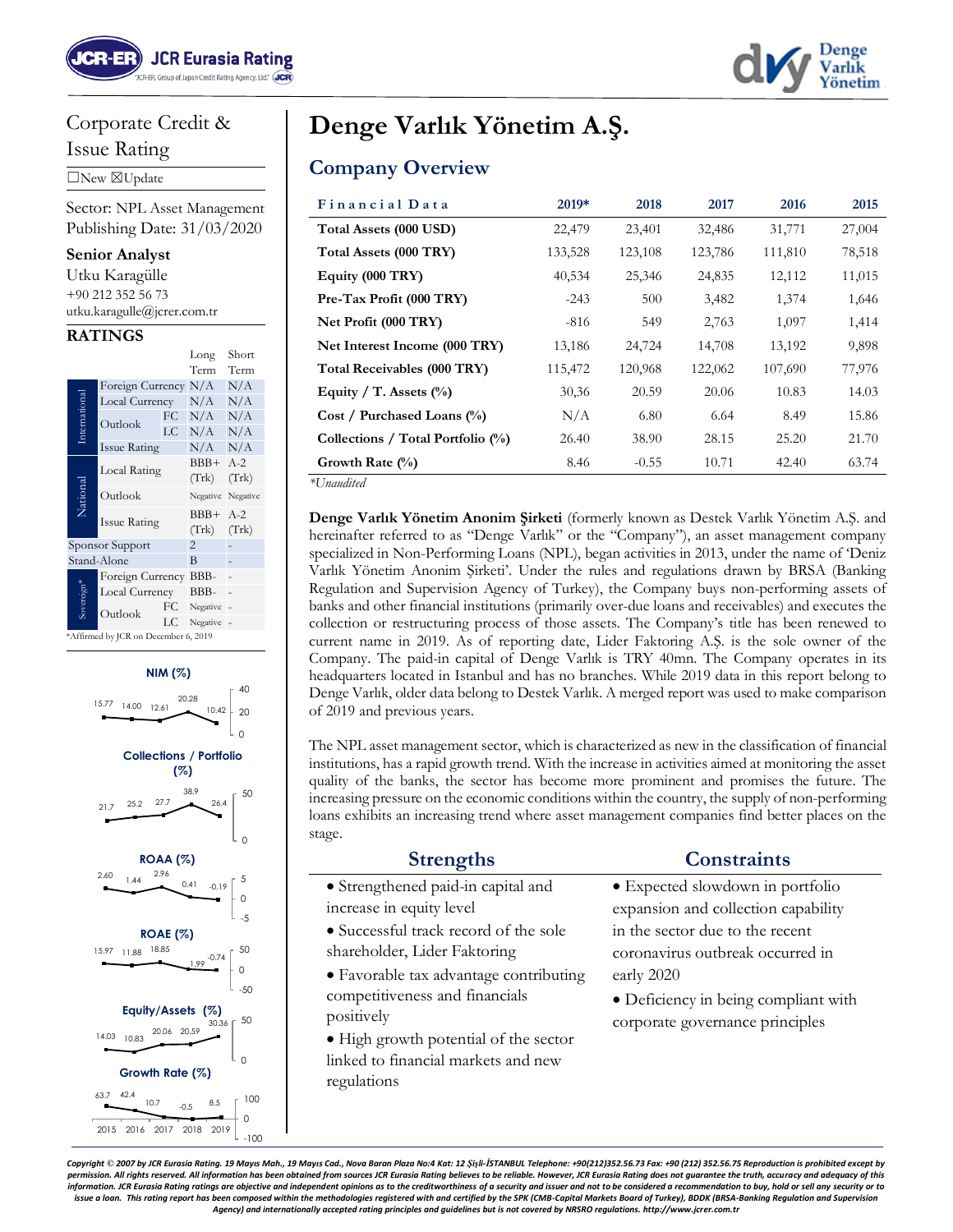

# Corporate Credit &

Issue Rating

☐New ☒Update

Sector: NPL Asset Management Publishing Date: 31/03/2020

#### **Senior Analyst**

| Utku Karagülle              |
|-----------------------------|
| $+90$ 212 352 56 73         |
| utku.karagulle@jcrer.com.tr |

#### **RATINGS**

|                                      |                     |    | Long            | Short          |
|--------------------------------------|---------------------|----|-----------------|----------------|
|                                      |                     |    | Term            | Term           |
|                                      | Foreign Currency    |    | N/A             | N/A            |
| International                        | Local Currency      |    | N/A             | N/A            |
|                                      | Outlook             | FC | N/A             | N/A            |
|                                      |                     | LC | N/A             | N/A            |
|                                      | <b>Issue Rating</b> |    | N/A             | N/A            |
|                                      | Local Rating        |    | $BBB+$          | $A-2$          |
|                                      |                     |    | (Trk)           | (Trk)          |
| National                             | Outlook             |    | Negative        | Negative       |
|                                      | <b>Issue Rating</b> |    | $BBB+$<br>(Trk) | $A-2$<br>(Trk) |
|                                      | Sponsor Support     |    | $\overline{2}$  |                |
|                                      | Stand-Alone         |    | B               |                |
|                                      | Foreign Currency    |    | BBB-            |                |
| Sovereign*                           | Local Currency      |    | BBB-            |                |
|                                      | Outlook             | FC | Negative        |                |
|                                      |                     | LC | Negative        |                |
| *Affirmed by JCR on December 6, 2019 |                     |    |                 |                |

#### **NIM (%)**



# **Denge Varlık Yönetim A.Ş.**

# **Company Overview**

| Financial Data                    | 2019*   | 2018    | 2017    | 2016    | 2015   |
|-----------------------------------|---------|---------|---------|---------|--------|
| Total Assets (000 USD)            | 22,479  | 23,401  | 32,486  | 31,771  | 27,004 |
| Total Assets (000 TRY)            | 133,528 | 123,108 | 123,786 | 111,810 | 78,518 |
| Equity (000 TRY)                  | 40,534  | 25,346  | 24,835  | 12,112  | 11,015 |
| Pre-Tax Profit (000 TRY)          | $-243$  | 500     | 3,482   | 1,374   | 1,646  |
| Net Profit (000 TRY)              | $-816$  | 549     | 2,763   | 1,097   | 1,414  |
| Net Interest Income (000 TRY)     | 13,186  | 24,724  | 14,708  | 13,192  | 9,898  |
| Total Receivables (000 TRY)       | 115,472 | 120,968 | 122,062 | 107,690 | 77,976 |
| Equity / T. Assets $(\%)$         | 30,36   | 20.59   | 20.06   | 10.83   | 14.03  |
| Cost / Purchased Loans (%)        | N/A     | 6.80    | 6.64    | 8.49    | 15.86  |
| Collections / Total Portfolio (%) | 26.40   | 38.90   | 28.15   | 25.20   | 21.70  |
| Growth Rate $(\%)$                | 8.46    | $-0.55$ | 10.71   | 42.40   | 63.74  |

*\*Unaudited*

**Denge Varlık Yönetim Anonim Şirketi** (formerly known as Destek Varlık Yönetim A.Ş. and hereinafter referred to as "Denge Varlık" or the "Company"), an asset management company specialized in Non-Performing Loans (NPL), began activities in 2013, under the name of 'Deniz Varlık Yönetim Anonim Şirketi'. Under the rules and regulations drawn by BRSA (Banking Regulation and Supervision Agency of Turkey), the Company buys non-performing assets of banks and other financial institutions (primarily over-due loans and receivables) and executes the collection or restructuring process of those assets. The Company's title has been renewed to current name in 2019. As of reporting date, Lider Faktoring A.Ş. is the sole owner of the Company. The paid-in capital of Denge Varlık is TRY 40mn. The Company operates in its headquarters located in Istanbul and has no branches. While 2019 data in this report belong to Denge Varlık, older data belong to Destek Varlık. A merged report was used to make comparison of 2019 and previous years.

The NPL asset management sector, which is characterized as new in the classification of financial institutions, has a rapid growth trend. With the increase in activities aimed at monitoring the asset quality of the banks, the sector has become more prominent and promises the future. The increasing pressure on the economic conditions within the country, the supply of non-performing loans exhibits an increasing trend where asset management companies find better places on the stage.

| <b>Strengths</b>                       | <b>Constraints</b>                   |
|----------------------------------------|--------------------------------------|
| • Strengthened paid-in capital and     | • Expected slowdown in portfolio     |
| increase in equity level               | expansion and collection capability  |
| • Successful track record of the sole  | in the sector due to the recent      |
| shareholder, Lider Faktoring           | coronavirus outbreak occurred in     |
| • Favorable tax advantage contributing | early 2020                           |
| competitiveness and financials         | · Deficiency in being compliant with |
| positively                             | corporate governance principles      |
| • High growth potential of the sector  |                                      |
| linked to financial markets and new    |                                      |
| regulations                            |                                      |

Copyright © 2007 by JCR Eurasia Ratina, 19 Mayıs Mah., 19 Mayıs Cad., Noya Baran Plaza No:4 Kat: 12 Sisli-İSTANBUL Telephone: +90/2121352.56.73 Fax: +90 /2121 352.56.75 Reproduction is prohibited except by *permission. All rights reserved. All information has been obtained from sources JCR Eurasia Rating believes to be reliable. However, JCR Eurasia Rating does not guarantee the truth, accuracy and adequacy of this*  information. JCR Eurasia Rating ratings are objective and independent opinions as to the creditworthiness of a security and issuer and not to be considered a recommendation to buy, hold or sell any security or to issue a loan. This rating report has been composed within the methodologies registered with and certified by the SPK (CMB-Capital Markets Board of Turkey), BDDK (BRSA-Banking Regulation and Supervision *Agency) and internationally accepted rating principles and guidelines but is not covered by NRSRO regulations. http://www.jcrer.com.tr*

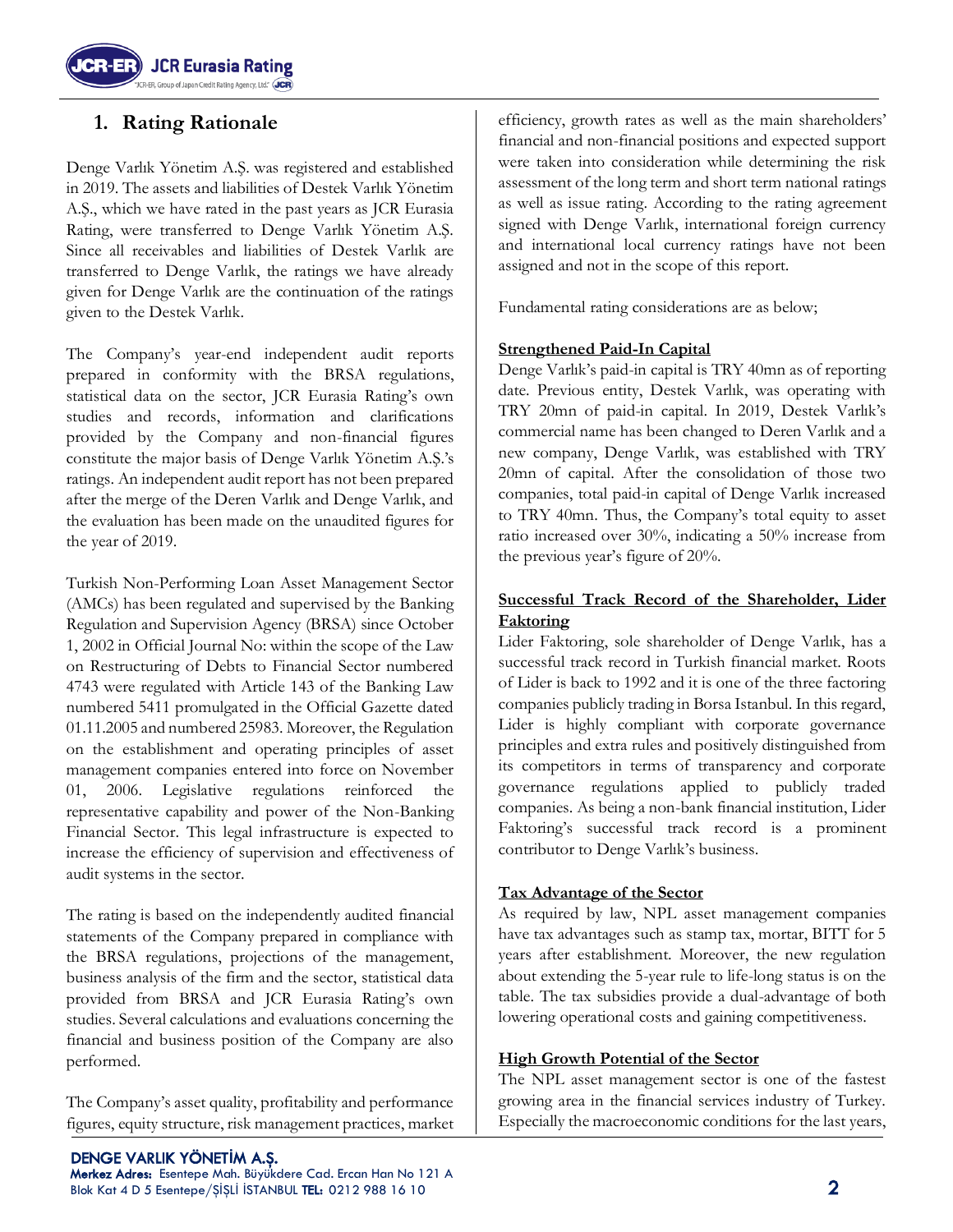

# **1. Rating Rationale**

Denge Varlık Yönetim A.Ş. was registered and established in 2019. The assets and liabilities of Destek Varlık Yönetim A.Ş., which we have rated in the past years as JCR Eurasia Rating, were transferred to Denge Varlık Yönetim A.Ş. Since all receivables and liabilities of Destek Varlık are transferred to Denge Varlık, the ratings we have already given for Denge Varlık are the continuation of the ratings given to the Destek Varlık.

The Company's year-end independent audit reports prepared in conformity with the BRSA regulations, statistical data on the sector, JCR Eurasia Rating's own studies and records, information and clarifications provided by the Company and non-financial figures constitute the major basis of Denge Varlık Yönetim A.Ş.'s ratings. An independent audit report has not been prepared after the merge of the Deren Varlık and Denge Varlık, and the evaluation has been made on the unaudited figures for the year of 2019.

Turkish Non-Performing Loan Asset Management Sector (AMCs) has been regulated and supervised by the Banking Regulation and Supervision Agency (BRSA) since October 1, 2002 in Official Journal No: within the scope of the Law on Restructuring of Debts to Financial Sector numbered 4743 were regulated with Article 143 of the Banking Law numbered 5411 promulgated in the Official Gazette dated 01.11.2005 and numbered 25983. Moreover, the Regulation on the establishment and operating principles of asset management companies entered into force on November 01, 2006. Legislative regulations reinforced the representative capability and power of the Non-Banking Financial Sector. This legal infrastructure is expected to increase the efficiency of supervision and effectiveness of audit systems in the sector.

The rating is based on the independently audited financial statements of the Company prepared in compliance with the BRSA regulations, projections of the management, business analysis of the firm and the sector, statistical data provided from BRSA and JCR Eurasia Rating's own studies. Several calculations and evaluations concerning the financial and business position of the Company are also performed.

The Company's asset quality, profitability and performance figures, equity structure, risk management practices, market efficiency, growth rates as well as the main shareholders' financial and non-financial positions and expected support were taken into consideration while determining the risk assessment of the long term and short term national ratings as well as issue rating. According to the rating agreement signed with Denge Varlık, international foreign currency and international local currency ratings have not been assigned and not in the scope of this report.

Fundamental rating considerations are as below;

## **Strengthened Paid-In Capital**

Denge Varlık's paid-in capital is TRY 40mn as of reporting date. Previous entity, Destek Varlık, was operating with TRY 20mn of paid-in capital. In 2019, Destek Varlık's commercial name has been changed to Deren Varlık and a new company, Denge Varlık, was established with TRY 20mn of capital. After the consolidation of those two companies, total paid-in capital of Denge Varlık increased to TRY 40mn. Thus, the Company's total equity to asset ratio increased over 30%, indicating a 50% increase from the previous year's figure of 20%.

#### **Successful Track Record of the Shareholder, Lider Faktoring**

Lider Faktoring, sole shareholder of Denge Varlık, has a successful track record in Turkish financial market. Roots of Lider is back to 1992 and it is one of the three factoring companies publicly trading in Borsa Istanbul. In this regard, Lider is highly compliant with corporate governance principles and extra rules and positively distinguished from its competitors in terms of transparency and corporate governance regulations applied to publicly traded companies. As being a non-bank financial institution, Lider Faktoring's successful track record is a prominent contributor to Denge Varlık's business.

## **Tax Advantage of the Sector**

As required by law, NPL asset management companies have tax advantages such as stamp tax, mortar, BITT for 5 years after establishment. Moreover, the new regulation about extending the 5-year rule to life-long status is on the table. The tax subsidies provide a dual-advantage of both lowering operational costs and gaining competitiveness.

## **High Growth Potential of the Sector**

The NPL asset management sector is one of the fastest growing area in the financial services industry of Turkey. Especially the macroeconomic conditions for the last years,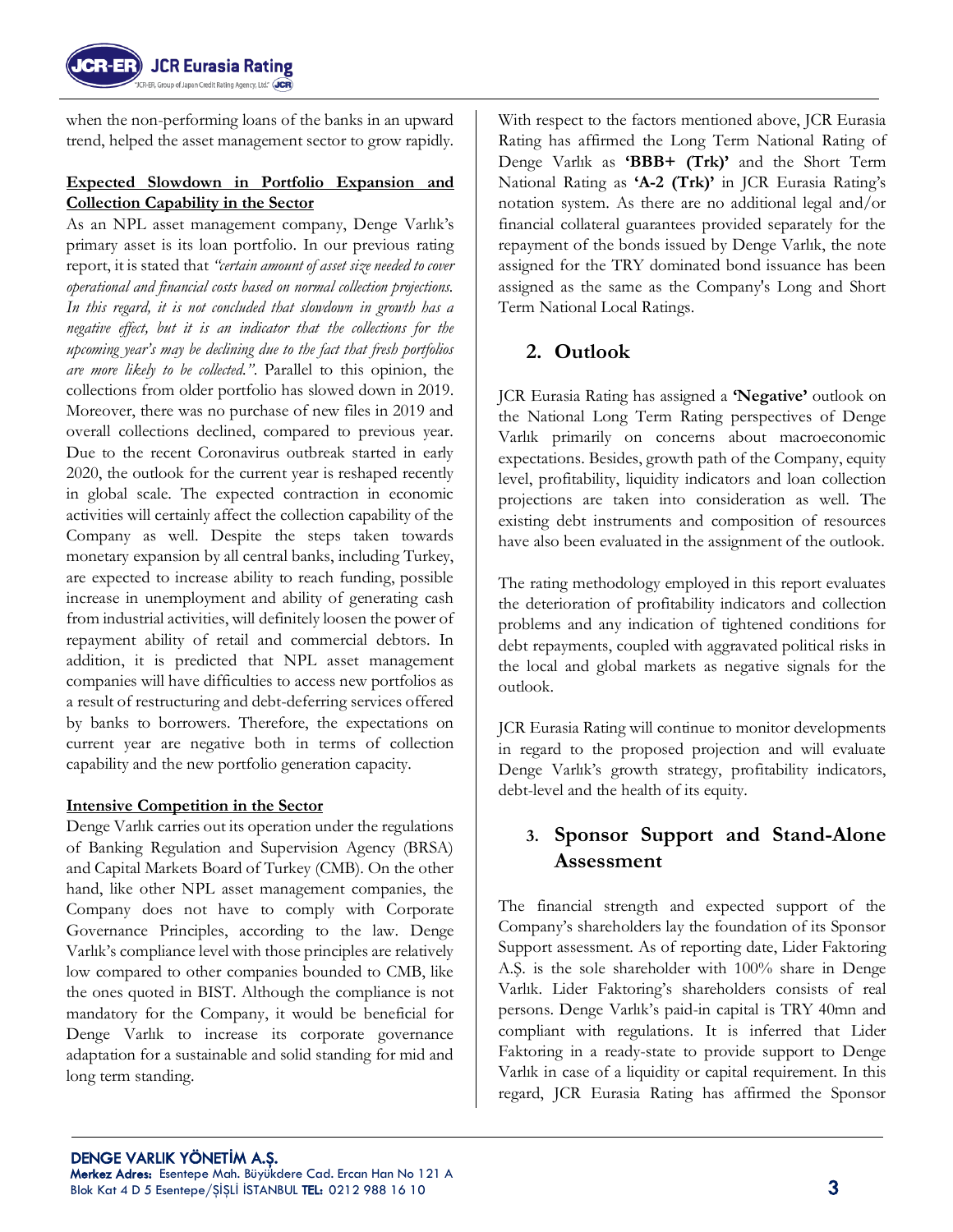

when the non-performing loans of the banks in an upward trend, helped the asset management sector to grow rapidly.

## **Expected Slowdown in Portfolio Expansion and Collection Capability in the Sector**

As an NPL asset management company, Denge Varlık's primary asset is its loan portfolio. In our previous rating report, it is stated that *"certain amount of asset size needed to cover operational and financial costs based on normal collection projections. In this regard, it is not concluded that slowdown in growth has a negative effect, but it is an indicator that the collections for the upcoming year's may be declining due to the fact that fresh portfolios are more likely to be collected."*. Parallel to this opinion, the collections from older portfolio has slowed down in 2019. Moreover, there was no purchase of new files in 2019 and overall collections declined, compared to previous year. Due to the recent Coronavirus outbreak started in early 2020, the outlook for the current year is reshaped recently in global scale. The expected contraction in economic activities will certainly affect the collection capability of the Company as well. Despite the steps taken towards monetary expansion by all central banks, including Turkey, are expected to increase ability to reach funding, possible increase in unemployment and ability of generating cash from industrial activities, will definitely loosen the power of repayment ability of retail and commercial debtors. In addition, it is predicted that NPL asset management companies will have difficulties to access new portfolios as a result of restructuring and debt-deferring services offered by banks to borrowers. Therefore, the expectations on current year are negative both in terms of collection capability and the new portfolio generation capacity.

## **Intensive Competition in the Sector**

Denge Varlık carries out its operation under the regulations of Banking Regulation and Supervision Agency (BRSA) and Capital Markets Board of Turkey (CMB). On the other hand, like other NPL asset management companies, the Company does not have to comply with Corporate Governance Principles, according to the law. Denge Varlık's compliance level with those principles are relatively low compared to other companies bounded to CMB, like the ones quoted in BIST. Although the compliance is not mandatory for the Company, it would be beneficial for Denge Varlık to increase its corporate governance adaptation for a sustainable and solid standing for mid and long term standing.

With respect to the factors mentioned above, JCR Eurasia Rating has affirmed the Long Term National Rating of Denge Varlık as **'BBB+ (Trk)'** and the Short Term National Rating as **'A-2 (Trk)'** in JCR Eurasia Rating's notation system. As there are no additional legal and/or financial collateral guarantees provided separately for the repayment of the bonds issued by Denge Varlık, the note assigned for the TRY dominated bond issuance has been assigned as the same as the Company's Long and Short Term National Local Ratings.

# **2. Outlook**

JCR Eurasia Rating has assigned a **'Negative'** outlook on the National Long Term Rating perspectives of Denge Varlık primarily on concerns about macroeconomic expectations. Besides, growth path of the Company, equity level, profitability, liquidity indicators and loan collection projections are taken into consideration as well. The existing debt instruments and composition of resources have also been evaluated in the assignment of the outlook.

The rating methodology employed in this report evaluates the deterioration of profitability indicators and collection problems and any indication of tightened conditions for debt repayments, coupled with aggravated political risks in the local and global markets as negative signals for the outlook.

JCR Eurasia Rating will continue to monitor developments in regard to the proposed projection and will evaluate Denge Varlık's growth strategy, profitability indicators, debt-level and the health of its equity.

# **3. Sponsor Support and Stand-Alone Assessment**

The financial strength and expected support of the Company's shareholders lay the foundation of its Sponsor Support assessment. As of reporting date, Lider Faktoring A.Ş. is the sole shareholder with 100% share in Denge Varlık. Lider Faktoring's shareholders consists of real persons. Denge Varlık's paid-in capital is TRY 40mn and compliant with regulations. It is inferred that Lider Faktoring in a ready-state to provide support to Denge Varlık in case of a liquidity or capital requirement. In this regard, JCR Eurasia Rating has affirmed the Sponsor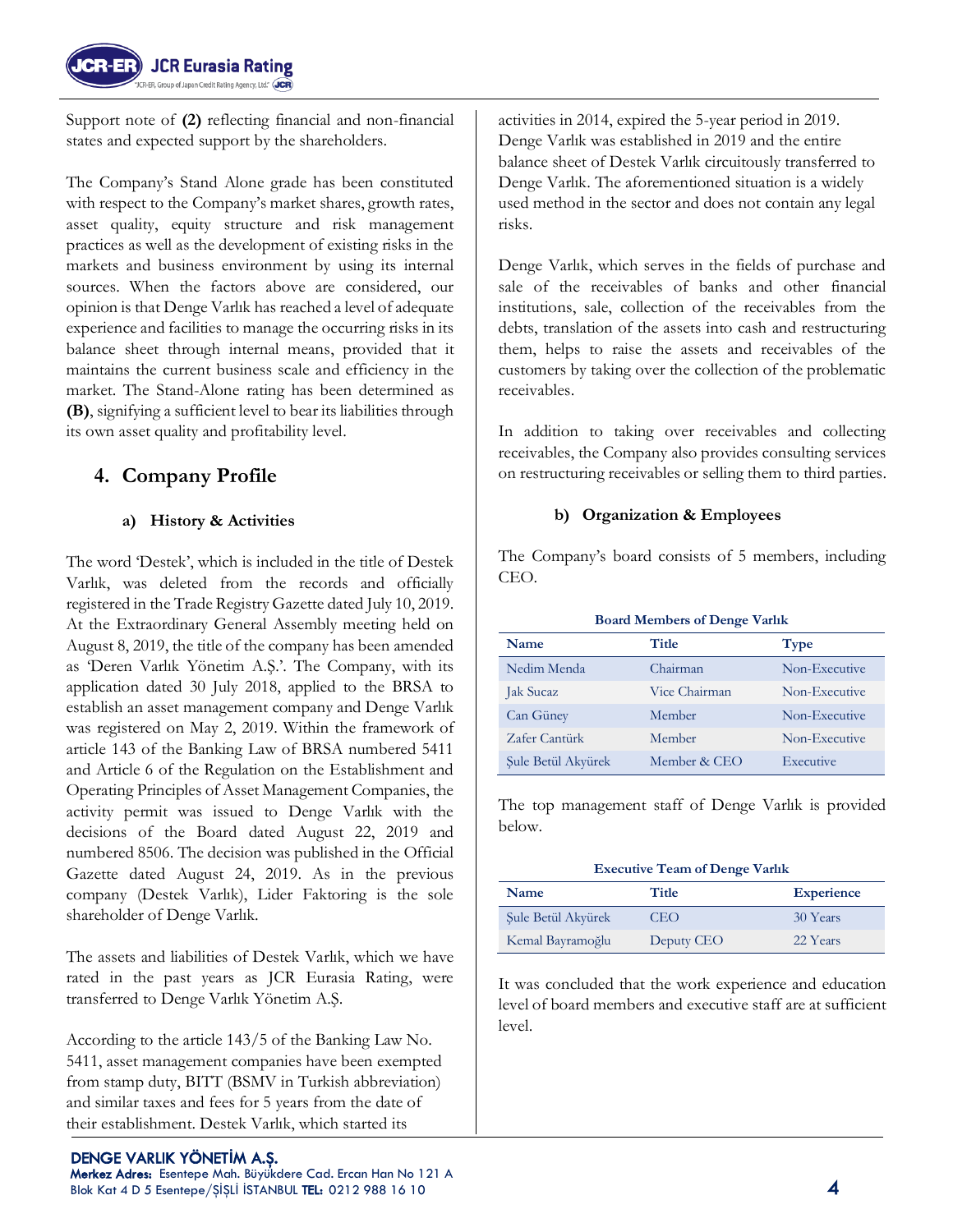

Support note of **(2)** reflecting financial and non-financial states and expected support by the shareholders.

The Company's Stand Alone grade has been constituted with respect to the Company's market shares, growth rates, asset quality, equity structure and risk management practices as well as the development of existing risks in the markets and business environment by using its internal sources. When the factors above are considered, our opinion is that Denge Varlık has reached a level of adequate experience and facilities to manage the occurring risks in its balance sheet through internal means, provided that it maintains the current business scale and efficiency in the market. The Stand-Alone rating has been determined as **(B)**, signifying a sufficient level to bear its liabilities through its own asset quality and profitability level.

# **4. Company Profile**

## **a) History & Activities**

The word 'Destek', which is included in the title of Destek Varlık, was deleted from the records and officially registered in the Trade Registry Gazette dated July 10, 2019. At the Extraordinary General Assembly meeting held on August 8, 2019, the title of the company has been amended as 'Deren Varlık Yönetim A.Ş.'. The Company, with its application dated 30 July 2018, applied to the BRSA to establish an asset management company and Denge Varlık was registered on May 2, 2019. Within the framework of article 143 of the Banking Law of BRSA numbered 5411 and Article 6 of the Regulation on the Establishment and Operating Principles of Asset Management Companies, the activity permit was issued to Denge Varlık with the decisions of the Board dated August 22, 2019 and numbered 8506. The decision was published in the Official Gazette dated August 24, 2019. As in the previous company (Destek Varlık), Lider Faktoring is the sole shareholder of Denge Varlık.

The assets and liabilities of Destek Varlık, which we have rated in the past years as JCR Eurasia Rating, were transferred to Denge Varlık Yönetim A.Ş.

According to the article 143/5 of the Banking Law No. 5411, asset management companies have been exempted from stamp duty, BITT (BSMV in Turkish abbreviation) and similar taxes and fees for 5 years from the date of their establishment. Destek Varlık, which started its

activities in 2014, expired the 5-year period in 2019. Denge Varlık was established in 2019 and the entire balance sheet of Destek Varlık circuitously transferred to Denge Varlık. The aforementioned situation is a widely used method in the sector and does not contain any legal risks.

Denge Varlık, which serves in the fields of purchase and sale of the receivables of banks and other financial institutions, sale, collection of the receivables from the debts, translation of the assets into cash and restructuring them, helps to raise the assets and receivables of the customers by taking over the collection of the problematic receivables.

In addition to taking over receivables and collecting receivables, the Company also provides consulting services on restructuring receivables or selling them to third parties.

#### **b) Organization & Employees**

The Company's board consists of 5 members, including CEO.

| <b>Board Members of Denge Varlik</b> |               |               |  |  |  |
|--------------------------------------|---------------|---------------|--|--|--|
| Title<br>Name<br><b>Type</b>         |               |               |  |  |  |
| Nedim Menda                          | Chairman      | Non-Executive |  |  |  |
| <b>Jak Sucaz</b>                     | Vice Chairman | Non-Executive |  |  |  |
| Can Güney                            | Member        | Non-Executive |  |  |  |
| Zafer Cantürk                        | Member        | Non-Executive |  |  |  |
| Sule Betül Akvürek                   | Member & CEO  | Executive     |  |  |  |

The top management staff of Denge Varlık is provided below.

| <b>Executive Team of Denge Varlik</b> |            |          |  |  |  |
|---------------------------------------|------------|----------|--|--|--|
| Title<br><b>Experience</b><br>Name    |            |          |  |  |  |
| Sule Betül Akvürek                    | <b>CEO</b> | 30 Years |  |  |  |
| Kemal Bayramoğlu                      | Deputy CEO | 22 Years |  |  |  |

It was concluded that the work experience and education level of board members and executive staff are at sufficient level.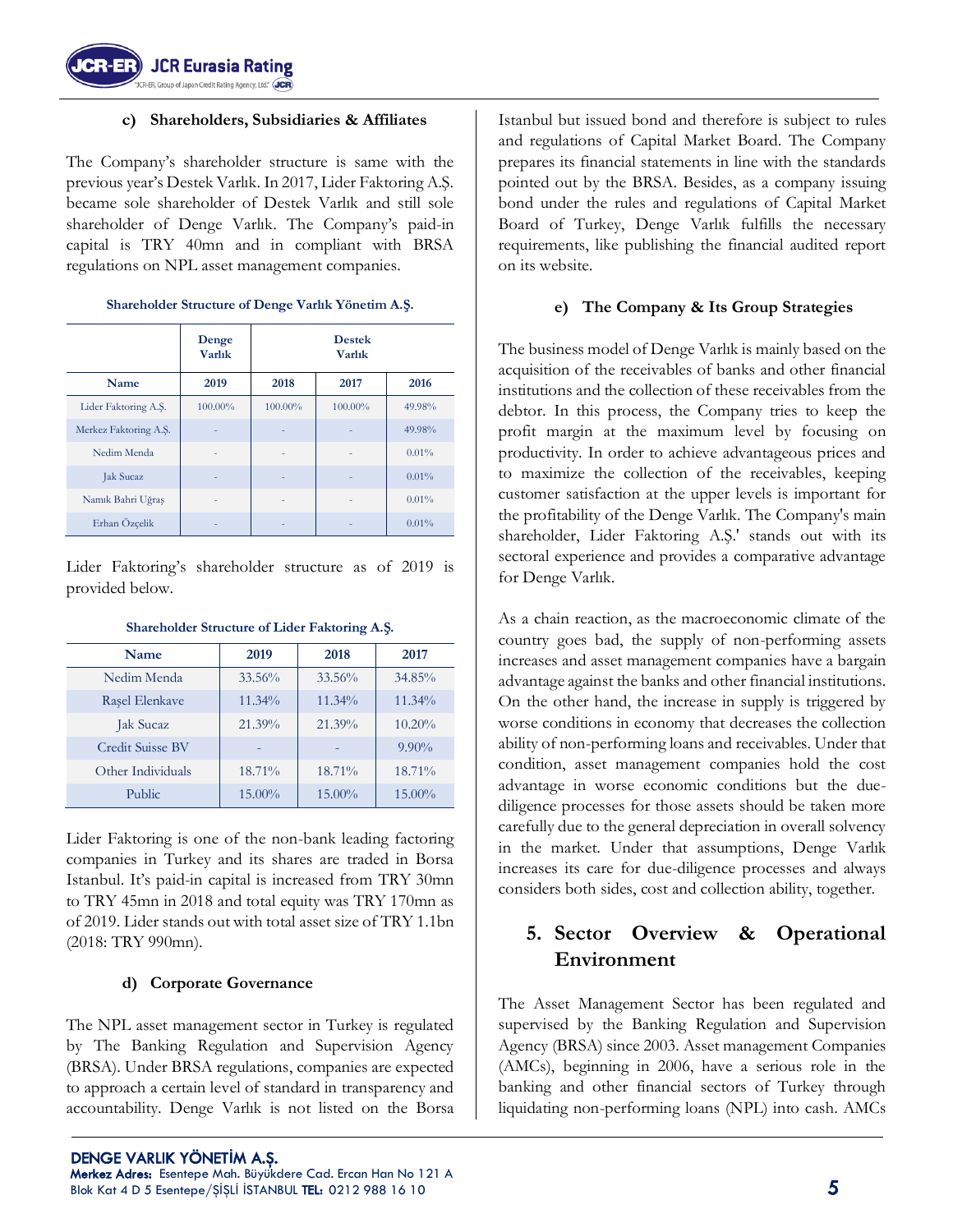

#### **c) Shareholders, Subsidiaries & Affiliates**

The Company's shareholder structure is same with the previous year's Destek Varlık. In 2017, Lider Faktoring A.Ş. became sole shareholder of Destek Varlık and still sole shareholder of Denge Varlık. The Company's paid-in capital is TRY 40mn and in compliant with BRSA regulations on NPL asset management companies.

|                       | Denge<br><b>Varlık</b> | <b>Destek</b><br><b>Varlık</b> |         |        |  |
|-----------------------|------------------------|--------------------------------|---------|--------|--|
| Name                  | 2019                   | 2018                           | 2017    | 2016   |  |
| Lider Faktoring A.S.  | 100.00%                | 100.00%                        | 100.00% | 49.98% |  |
| Merkez Faktoring A.S. |                        |                                |         | 49.98% |  |
| Nedim Menda           |                        |                                |         | 0.01%  |  |
| <b>Jak Sucaz</b>      |                        |                                |         | 0.01%  |  |
| Namık Bahri Uğraş     |                        |                                | ۰       | 0.01%  |  |
| Erhan Özçelik         |                        |                                |         | 0.01%  |  |

#### **Shareholder Structure of Denge Varlık Yönetim A.Ş.**

Lider Faktoring's shareholder structure as of 2019 is provided below.

| <b>Name</b>       | 2019   | 2018      | 2017      |
|-------------------|--------|-----------|-----------|
| Nedim Menda       | 33.56% | 33.56%    | $34.85\%$ |
| Rasel Elenkave    | 11.34% | $11.34\%$ | $11.34\%$ |
| Jak Sucaz         | 21.39% | $21.39\%$ | $10.20\%$ |
| Credit Suisse BV  |        |           | $9.90\%$  |
| Other Individuals | 18.71% | $18.71\%$ | $18.71\%$ |
| <b>Public</b>     | 15.00% | 15.00%    | $15.00\%$ |

#### **Shareholder Structure of Lider Faktoring A.Ş.**

Lider Faktoring is one of the non-bank leading factoring companies in Turkey and its shares are traded in Borsa Istanbul. It's paid-in capital is increased from TRY 30mn to TRY 45mn in 2018 and total equity was TRY 170mn as of 2019. Lider stands out with total asset size of TRY 1.1bn (2018: TRY 990mn).

#### **d) Corporate Governance**

The NPL asset management sector in Turkey is regulated by The Banking Regulation and Supervision Agency (BRSA). Under BRSA regulations, companies are expected to approach a certain level of standard in transparency and accountability. Denge Varlık is not listed on the Borsa Istanbul but issued bond and therefore is subject to rules and regulations of Capital Market Board. The Company prepares its financial statements in line with the standards pointed out by the BRSA. Besides, as a company issuing bond under the rules and regulations of Capital Market Board of Turkey, Denge Varlık fulfills the necessary requirements, like publishing the financial audited report on its website.

#### **e) The Company & Its Group Strategies**

The business model of Denge Varlık is mainly based on the acquisition of the receivables of banks and other financial institutions and the collection of these receivables from the debtor. In this process, the Company tries to keep the profit margin at the maximum level by focusing on productivity. In order to achieve advantageous prices and to maximize the collection of the receivables, keeping customer satisfaction at the upper levels is important for the profitability of the Denge Varlık. The Company's main shareholder, Lider Faktoring A.Ş.' stands out with its sectoral experience and provides a comparative advantage for Denge Varlık.

As a chain reaction, as the macroeconomic climate of the country goes bad, the supply of non-performing assets increases and asset management companies have a bargain advantage against the banks and other financial institutions. On the other hand, the increase in supply is triggered by worse conditions in economy that decreases the collection ability of non-performing loans and receivables. Under that condition, asset management companies hold the cost advantage in worse economic conditions but the duediligence processes for those assets should be taken more carefully due to the general depreciation in overall solvency in the market. Under that assumptions, Denge Varlık increases its care for due-diligence processes and always considers both sides, cost and collection ability, together.

# **5. Sector Overview & Operational Environment**

The Asset Management Sector has been regulated and supervised by the Banking Regulation and Supervision Agency (BRSA) since 2003. Asset management Companies (AMCs), beginning in 2006, have a serious role in the banking and other financial sectors of Turkey through liquidating non-performing loans (NPL) into cash. AMCs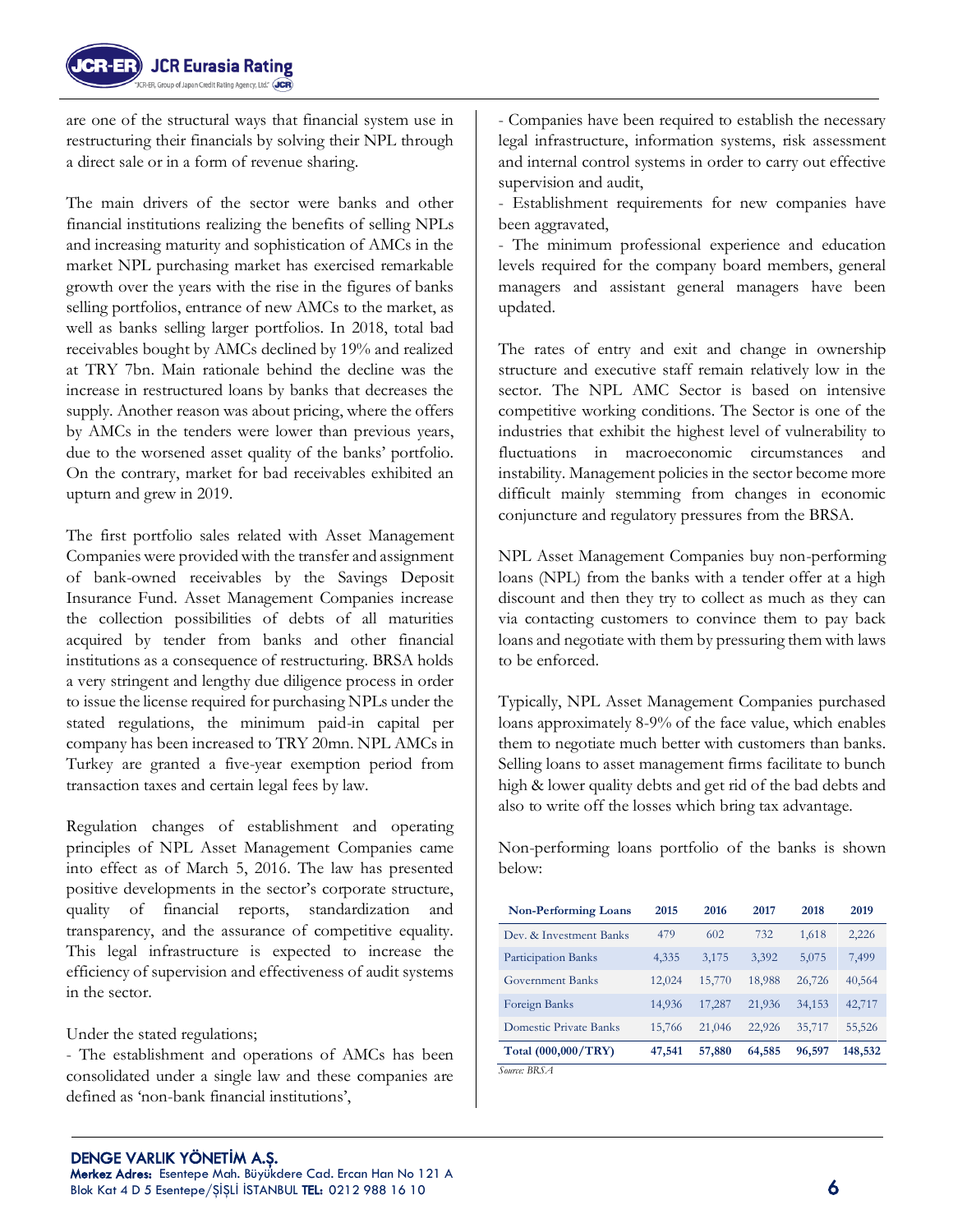

are one of the structural ways that financial system use in restructuring their financials by solving their NPL through a direct sale or in a form of revenue sharing.

The main drivers of the sector were banks and other financial institutions realizing the benefits of selling NPLs and increasing maturity and sophistication of AMCs in the market NPL purchasing market has exercised remarkable growth over the years with the rise in the figures of banks selling portfolios, entrance of new AMCs to the market, as well as banks selling larger portfolios. In 2018, total bad receivables bought by AMCs declined by 19% and realized at TRY 7bn. Main rationale behind the decline was the increase in restructured loans by banks that decreases the supply. Another reason was about pricing, where the offers by AMCs in the tenders were lower than previous years, due to the worsened asset quality of the banks' portfolio. On the contrary, market for bad receivables exhibited an upturn and grew in 2019.

The first portfolio sales related with Asset Management Companies were provided with the transfer and assignment of bank-owned receivables by the Savings Deposit Insurance Fund. Asset Management Companies increase the collection possibilities of debts of all maturities acquired by tender from banks and other financial institutions as a consequence of restructuring. BRSA holds a very stringent and lengthy due diligence process in order to issue the license required for purchasing NPLs under the stated regulations, the minimum paid-in capital per company has been increased to TRY 20mn. NPL AMCs in Turkey are granted a five-year exemption period from transaction taxes and certain legal fees by law.

Regulation changes of establishment and operating principles of NPL Asset Management Companies came into effect as of March 5, 2016. The law has presented positive developments in the sector's corporate structure, quality of financial reports, standardization and transparency, and the assurance of competitive equality. This legal infrastructure is expected to increase the efficiency of supervision and effectiveness of audit systems in the sector.

Under the stated regulations;

- The establishment and operations of AMCs has been consolidated under a single law and these companies are defined as 'non-bank financial institutions',

- Establishment requirements for new companies have been aggravated,

- The minimum professional experience and education levels required for the company board members, general managers and assistant general managers have been updated.

The rates of entry and exit and change in ownership structure and executive staff remain relatively low in the sector. The NPL AMC Sector is based on intensive competitive working conditions. The Sector is one of the industries that exhibit the highest level of vulnerability to fluctuations in macroeconomic circumstances and instability. Management policies in the sector become more difficult mainly stemming from changes in economic conjuncture and regulatory pressures from the BRSA.

NPL Asset Management Companies buy non-performing loans (NPL) from the banks with a tender offer at a high discount and then they try to collect as much as they can via contacting customers to convince them to pay back loans and negotiate with them by pressuring them with laws to be enforced.

Typically, NPL Asset Management Companies purchased loans approximately 8-9% of the face value, which enables them to negotiate much better with customers than banks. Selling loans to asset management firms facilitate to bunch high & lower quality debts and get rid of the bad debts and also to write off the losses which bring tax advantage.

Non-performing loans portfolio of the banks is shown below:

| <b>Non-Performing Loans</b> | 2015   | 2016   | 2017   | 2018   | 2019    |
|-----------------------------|--------|--------|--------|--------|---------|
| Dev. & Investment Banks     | 479    | 602    | 732    | 1,618  | 2,226   |
| Participation Banks         | 4,335  | 3,175  | 3,392  | 5,075  | 7,499   |
| <b>Government Banks</b>     | 12,024 | 15,770 | 18,988 | 26,726 | 40,564  |
| Foreign Banks               | 14,936 | 17,287 | 21,936 | 34,153 | 42,717  |
| Domestic Private Banks      | 15,766 | 21,046 | 22,926 | 35,717 | 55,526  |
| Total (000,000/TRY)         | 47,541 | 57,880 | 64,585 | 96,597 | 148,532 |
| Source: BRSA                |        |        |        |        |         |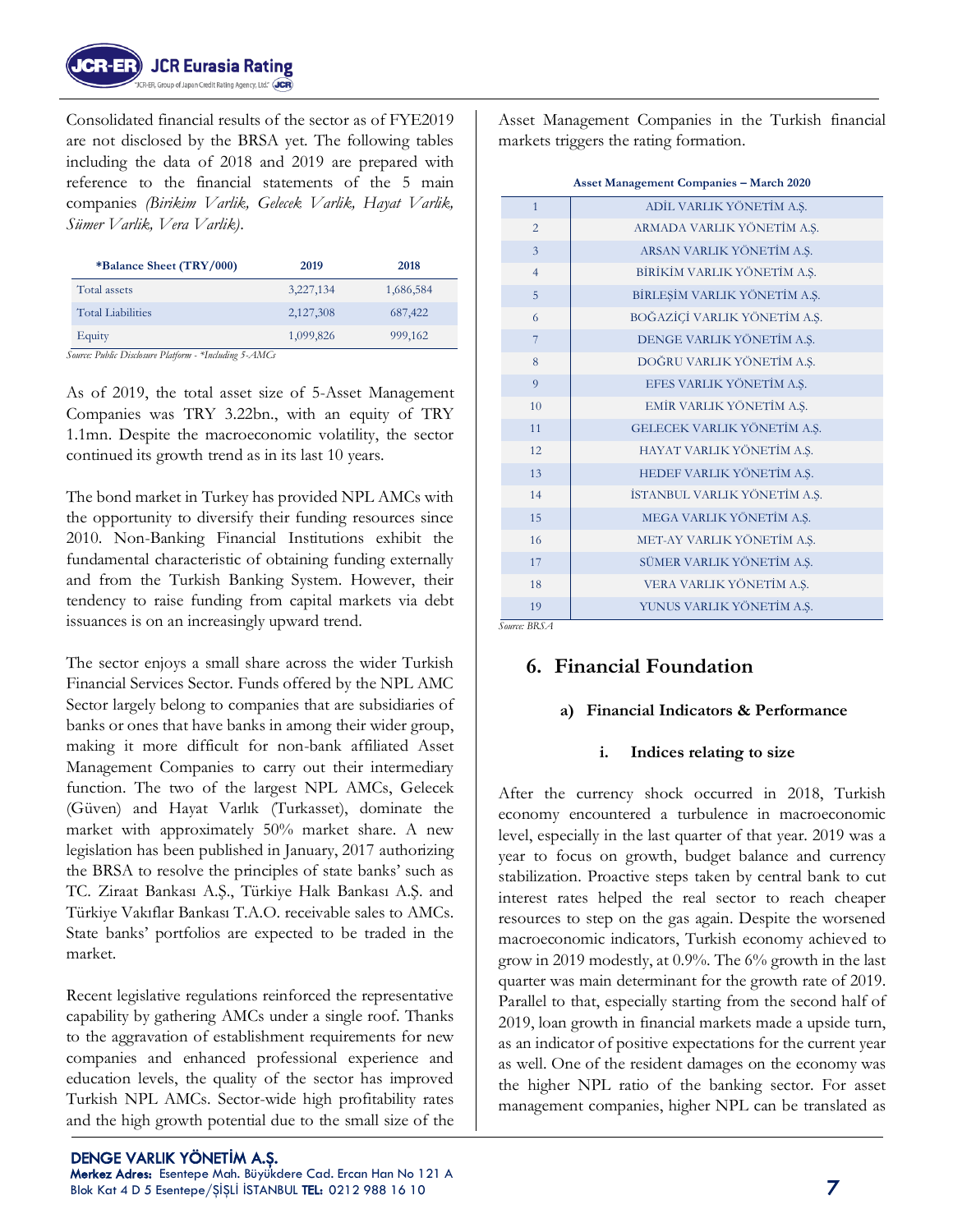

Consolidated financial results of the sector as of FYE2019 are not disclosed by the BRSA yet. The following tables including the data of 2018 and 2019 are prepared with reference to the financial statements of the 5 main companies *(Birikim Varlik, Gelecek Varlik, Hayat Varlik, Sümer Varlik, Vera Varlik)*.

| *Balance Sheet (TRY/000) | 2019      | 2018      |
|--------------------------|-----------|-----------|
| Total assets             | 3,227,134 | 1,686,584 |
| <b>Total Liabilities</b> | 2,127,308 | 687,422   |
| Equity                   | 1,099,826 | 999,162   |

*Source: Public Disclosure Platform - \*Including 5-AMCs*

As of 2019, the total asset size of 5-Asset Management Companies was TRY 3.22bn., with an equity of TRY 1.1mn. Despite the macroeconomic volatility, the sector continued its growth trend as in its last 10 years.

The bond market in Turkey has provided NPL AMCs with the opportunity to diversify their funding resources since 2010. Non-Banking Financial Institutions exhibit the fundamental characteristic of obtaining funding externally and from the Turkish Banking System. However, their tendency to raise funding from capital markets via debt issuances is on an increasingly upward trend.

The sector enjoys a small share across the wider Turkish Financial Services Sector. Funds offered by the NPL AMC Sector largely belong to companies that are subsidiaries of banks or ones that have banks in among their wider group, making it more difficult for non-bank affiliated Asset Management Companies to carry out their intermediary function. The two of the largest NPL AMCs, Gelecek (Güven) and Hayat Varlık (Turkasset), dominate the market with approximately 50% market share. A new legislation has been published in January, 2017 authorizing the BRSA to resolve the principles of state banks' such as TC. Ziraat Bankası A.Ş., Türkiye Halk Bankası A.Ş. and Türkiye Vakıflar Bankası T.A.O. receivable sales to AMCs. State banks' portfolios are expected to be traded in the market.

Recent legislative regulations reinforced the representative capability by gathering AMCs under a single roof. Thanks to the aggravation of establishment requirements for new companies and enhanced professional experience and education levels, the quality of the sector has improved Turkish NPL AMCs. Sector-wide high profitability rates and the high growth potential due to the small size of the

 DENGE VARLIK YÖNET**İ**M A.Ş. Merkez Adres: Esentepe Mah. Büyükdere Cad. Ercan Han No 121 A Blok Kat 4 D 5 Esentepe/ŞİŞLİ İSTANBUL TEL: 0212 988 16 10  $\overline{7}$ 

Asset Management Companies in the Turkish financial markets triggers the rating formation.

|                                                        | <b>Asset Management Companies - March 2020</b> |
|--------------------------------------------------------|------------------------------------------------|
| $\mathbf{1}$                                           | ADİL VARLIK YÖNETİM A.Ş.                       |
| $\overline{2}$                                         | ARMADA VARLIK YÖNETİM A.Ş.                     |
| 3                                                      | ARSAN VARLIK YÖNETİM A.Ş.                      |
| $\overline{4}$                                         | BİRİKİM VARLIK YÖNETİM A.Ş.                    |
| 5                                                      | BİRLEŞİM VARLIK YÖNETİM A.Ş.                   |
| 6                                                      | BOĞAZİÇİ VARLIK YÖNETİM A.Ş.                   |
| $\overline{7}$                                         | DENGE VARLIK YÖNETİM A.Ş.                      |
| 8                                                      | DOĞRU VARLIK YÖNETİM A.Ş.                      |
| 9                                                      | EFES VARLIK YÖNETİM A.Ş.                       |
| 10                                                     | EMİR VARLIK YÖNETİM A.Ş.                       |
| 11                                                     | GELECEK VARLIK YÖNETİM A.Ş.                    |
| 12                                                     | HAYAT VARLIK YÖNETİM A.Ş.                      |
| 13                                                     | HEDEF VARLIK YÖNETİM A.Ş.                      |
| 14                                                     | İSTANBUL VARLIK YÖNETİM A.Ş.                   |
| 15                                                     | MEGA VARLIK YÖNETİM A.Ş.                       |
| 16                                                     | MET-AY VARLIK YÖNETİM A.Ş.                     |
| 17                                                     | SÜMER VARLIK YÖNETİM A.Ş.                      |
| 18                                                     | VERA VARLIK YÖNETİM A.Ş.                       |
| 19<br>$C_{\text{O}-\text{O}-\text{O}}$ $R$ $R$ $C$ $A$ | YUNUS VARLIK YÖNETİM A.Ş.                      |

*Source: BRSA*

# **6. Financial Foundation**

## **a) Financial Indicators & Performance**

#### **i. Indices relating to size**

After the currency shock occurred in 2018, Turkish economy encountered a turbulence in macroeconomic level, especially in the last quarter of that year. 2019 was a year to focus on growth, budget balance and currency stabilization. Proactive steps taken by central bank to cut interest rates helped the real sector to reach cheaper resources to step on the gas again. Despite the worsened macroeconomic indicators, Turkish economy achieved to grow in 2019 modestly, at 0.9%. The 6% growth in the last quarter was main determinant for the growth rate of 2019. Parallel to that, especially starting from the second half of 2019, loan growth in financial markets made a upside turn, as an indicator of positive expectations for the current year as well. One of the resident damages on the economy was the higher NPL ratio of the banking sector. For asset management companies, higher NPL can be translated as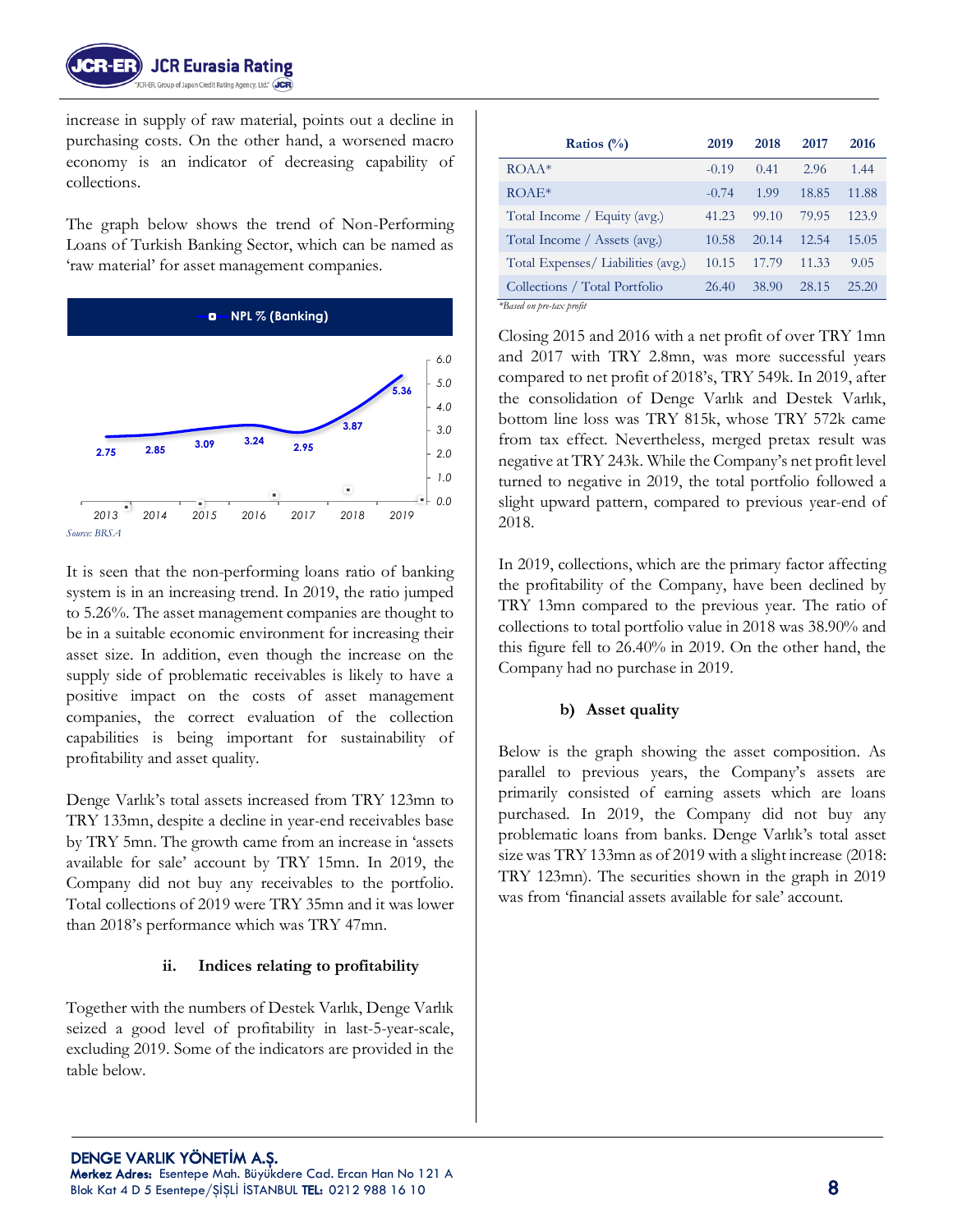

increase in supply of raw material, points out a decline in purchasing costs. On the other hand, a worsened macro economy is an indicator of decreasing capability of collections.

The graph below shows the trend of Non-Performing Loans of Turkish Banking Sector, which can be named as 'raw material' for asset management companies.



It is seen that the non-performing loans ratio of banking system is in an increasing trend. In 2019, the ratio jumped to 5.26%. The asset management companies are thought to be in a suitable economic environment for increasing their asset size. In addition, even though the increase on the supply side of problematic receivables is likely to have a positive impact on the costs of asset management companies, the correct evaluation of the collection capabilities is being important for sustainability of profitability and asset quality.

Denge Varlık's total assets increased from TRY 123mn to TRY 133mn, despite a decline in year-end receivables base by TRY 5mn. The growth came from an increase in 'assets available for sale' account by TRY 15mn. In 2019, the Company did not buy any receivables to the portfolio. Total collections of 2019 were TRY 35mn and it was lower than 2018's performance which was TRY 47mn.

#### **ii. Indices relating to profitability**

Together with the numbers of Destek Varlık, Denge Varlık seized a good level of profitability in last-5-year-scale, excluding 2019. Some of the indicators are provided in the table below.

| Ratios $(\%)$                     | 2019    | 2018  | 2017  | 2016  |
|-----------------------------------|---------|-------|-------|-------|
| $ROAA*$                           | $-0.19$ | 0.41  | 2.96  | 1.44  |
| $ROAE*$                           | $-0.74$ | 1.99  | 18.85 | 11.88 |
| Total Income / Equity (avg.)      | 41.23   | 99.10 | 79.95 | 123.9 |
| Total Income / Assets (avg.)      | 10.58   | 20.14 | 12.54 | 15.05 |
| Total Expenses/Liabilities (avg.) | 10.15   | 17.79 | 11.33 | 9.05  |
| Collections / Total Portfolio     | 26.40   | 38.90 | 28.15 | 25.20 |
| *Based on pre-tax profit          |         |       |       |       |

Closing 2015 and 2016 with a net profit of over TRY 1mn and 2017 with TRY 2.8mn, was more successful years compared to net profit of 2018's, TRY 549k. In 2019, after the consolidation of Denge Varlık and Destek Varlık, bottom line loss was TRY 815k, whose TRY 572k came from tax effect. Nevertheless, merged pretax result was negative at TRY 243k. While the Company's net profit level turned to negative in 2019, the total portfolio followed a slight upward pattern, compared to previous year-end of 2018.

In 2019, collections, which are the primary factor affecting the profitability of the Company, have been declined by TRY 13mn compared to the previous year. The ratio of collections to total portfolio value in 2018 was 38.90% and this figure fell to 26.40% in 2019. On the other hand, the Company had no purchase in 2019.

#### **b) Asset quality**

Below is the graph showing the asset composition. As parallel to previous years, the Company's assets are primarily consisted of earning assets which are loans purchased. In 2019, the Company did not buy any problematic loans from banks. Denge Varlık's total asset size was TRY 133mn as of 2019 with a slight increase (2018: TRY 123mn). The securities shown in the graph in 2019 was from 'financial assets available for sale' account.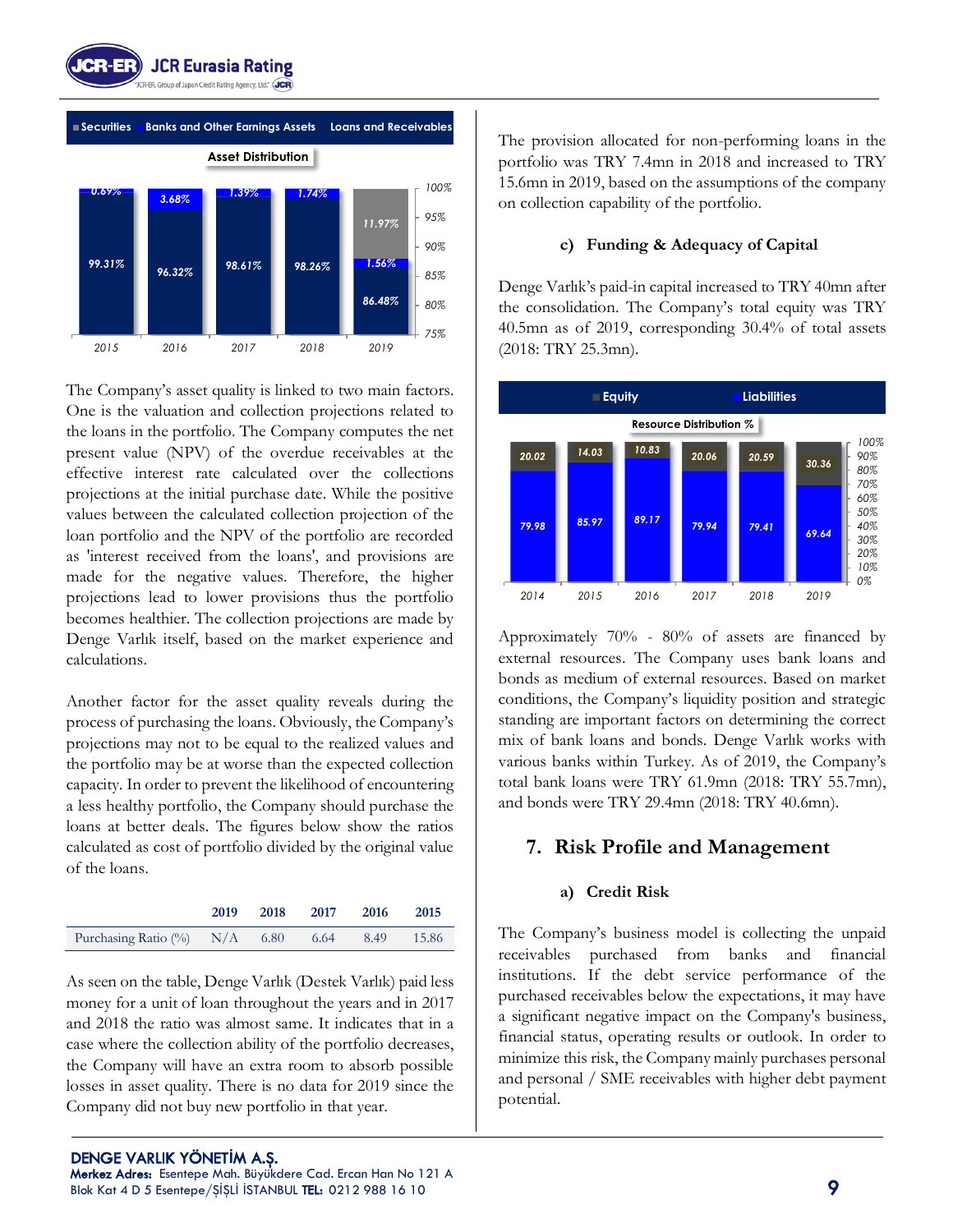



The Company's asset quality is linked to two main factors. One is the valuation and collection projections related to the loans in the portfolio. The Company computes the net present value (NPV) of the overdue receivables at the effective interest rate calculated over the collections projections at the initial purchase date. While the positive values between the calculated collection projection of the loan portfolio and the NPV of the portfolio are recorded as 'interest received from the loans', and provisions are made for the negative values. Therefore, the higher projections lead to lower provisions thus the portfolio becomes healthier. The collection projections are made by Denge Varlık itself, based on the market experience and calculations.

Another factor for the asset quality reveals during the process of purchasing the loans. Obviously, the Company's projections may not to be equal to the realized values and the portfolio may be at worse than the expected collection capacity. In order to prevent the likelihood of encountering a less healthy portfolio, the Company should purchase the loans at better deals. The figures below show the ratios calculated as cost of portfolio divided by the original value of the loans.

|                                                | 2019 | 2018 | 2017 | 2016 | 2015  |
|------------------------------------------------|------|------|------|------|-------|
| Purchasing Ratio $\frac{\%}{\%}$ N/A 6.80 6.64 |      |      |      | 8.49 | 15.86 |

As seen on the table, Denge Varlık (Destek Varlık) paid less money for a unit of loan throughout the years and in 2017 and 2018 the ratio was almost same. It indicates that in a case where the collection ability of the portfolio decreases, the Company will have an extra room to absorb possible losses in asset quality. There is no data for 2019 since the Company did not buy new portfolio in that year.

The provision allocated for non-performing loans in the portfolio was TRY 7.4mn in 2018 and increased to TRY 15.6mn in 2019, based on the assumptions of the company on collection capability of the portfolio.

#### **c) Funding & Adequacy of Capital**

Denge Varlık's paid-in capital increased to TRY 40mn after the consolidation. The Company's total equity was TRY 40.5mn as of 2019, corresponding 30.4% of total assets (2018: TRY 25.3mn).



Approximately 70% - 80% of assets are financed by external resources. The Company uses bank loans and bonds as medium of external resources. Based on market conditions, the Company's liquidity position and strategic standing are important factors on determining the correct mix of bank loans and bonds. Denge Varlık works with various banks within Turkey. As of 2019, the Company's total bank loans were TRY 61.9mn (2018: TRY 55.7mn), and bonds were TRY 29.4mn (2018: TRY 40.6mn).

# **7. Risk Profile and Management**

#### **a) Credit Risk**

The Company's business model is collecting the unpaid receivables purchased from banks and financial institutions. If the debt service performance of the purchased receivables below the expectations, it may have a significant negative impact on the Company's business, financial status, operating results or outlook. In order to minimize this risk, the Company mainly purchases personal and personal / SME receivables with higher debt payment potential.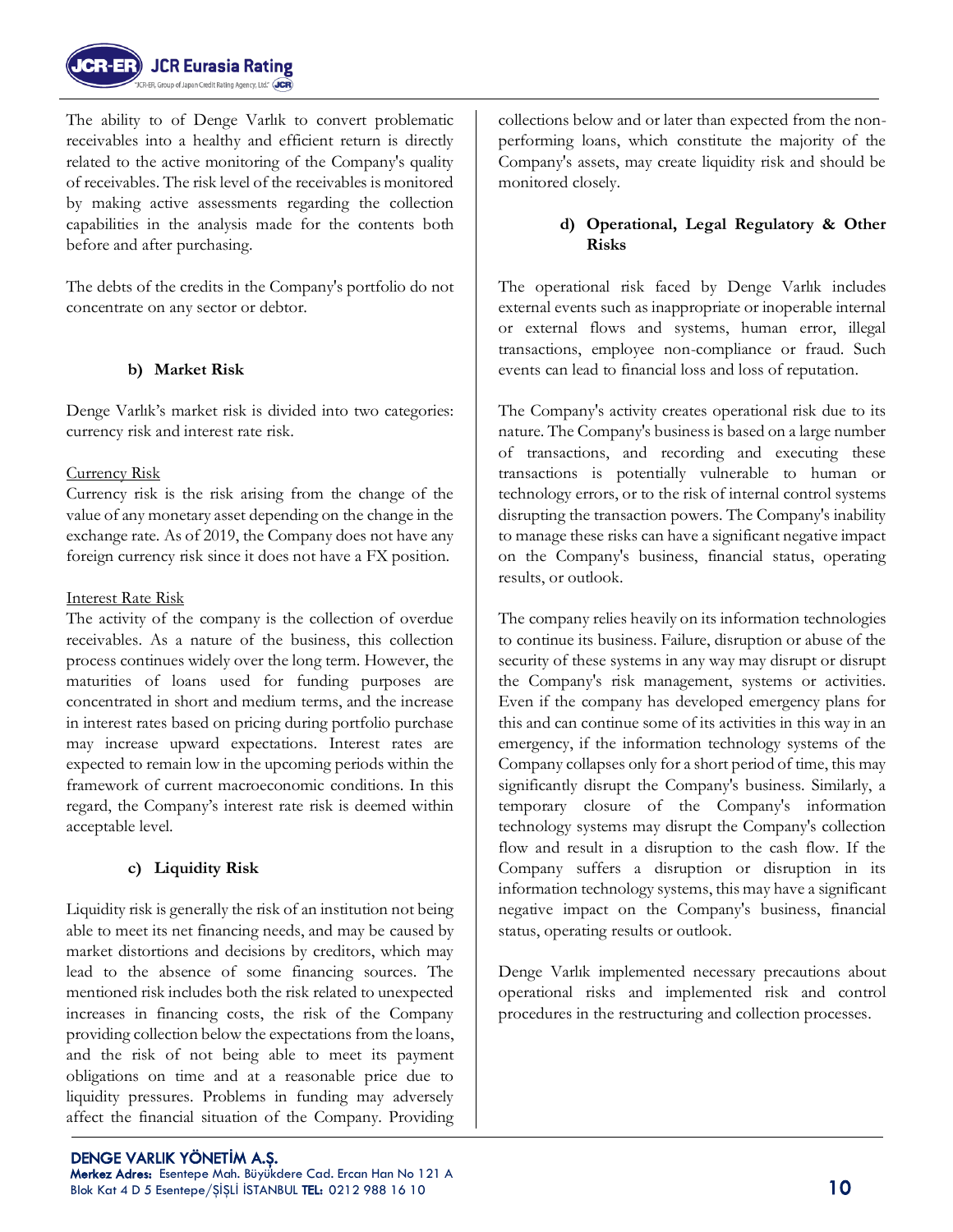

The ability to of Denge Varlık to convert problematic receivables into a healthy and efficient return is directly related to the active monitoring of the Company's quality of receivables. The risk level of the receivables is monitored by making active assessments regarding the collection capabilities in the analysis made for the contents both before and after purchasing.

The debts of the credits in the Company's portfolio do not concentrate on any sector or debtor.

## **b) Market Risk**

Denge Varlık's market risk is divided into two categories: currency risk and interest rate risk.

#### Currency Risk

Currency risk is the risk arising from the change of the value of any monetary asset depending on the change in the exchange rate. As of 2019, the Company does not have any foreign currency risk since it does not have a FX position.

#### Interest Rate Risk

The activity of the company is the collection of overdue receivables. As a nature of the business, this collection process continues widely over the long term. However, the maturities of loans used for funding purposes are concentrated in short and medium terms, and the increase in interest rates based on pricing during portfolio purchase may increase upward expectations. Interest rates are expected to remain low in the upcoming periods within the framework of current macroeconomic conditions. In this regard, the Company's interest rate risk is deemed within acceptable level.

## **c) Liquidity Risk**

Liquidity risk is generally the risk of an institution not being able to meet its net financing needs, and may be caused by market distortions and decisions by creditors, which may lead to the absence of some financing sources. The mentioned risk includes both the risk related to unexpected increases in financing costs, the risk of the Company providing collection below the expectations from the loans, and the risk of not being able to meet its payment obligations on time and at a reasonable price due to liquidity pressures. Problems in funding may adversely affect the financial situation of the Company. Providing collections below and or later than expected from the nonperforming loans, which constitute the majority of the Company's assets, may create liquidity risk and should be monitored closely.

#### **d) Operational, Legal Regulatory & Other Risks**

The operational risk faced by Denge Varlık includes external events such as inappropriate or inoperable internal or external flows and systems, human error, illegal transactions, employee non-compliance or fraud. Such events can lead to financial loss and loss of reputation.

The Company's activity creates operational risk due to its nature. The Company's business is based on a large number of transactions, and recording and executing these transactions is potentially vulnerable to human or technology errors, or to the risk of internal control systems disrupting the transaction powers. The Company's inability to manage these risks can have a significant negative impact on the Company's business, financial status, operating results, or outlook.

The company relies heavily on its information technologies to continue its business. Failure, disruption or abuse of the security of these systems in any way may disrupt or disrupt the Company's risk management, systems or activities. Even if the company has developed emergency plans for this and can continue some of its activities in this way in an emergency, if the information technology systems of the Company collapses only for a short period of time, this may significantly disrupt the Company's business. Similarly, a temporary closure of the Company's information technology systems may disrupt the Company's collection flow and result in a disruption to the cash flow. If the Company suffers a disruption or disruption in its information technology systems, this may have a significant negative impact on the Company's business, financial status, operating results or outlook.

Denge Varlık implemented necessary precautions about operational risks and implemented risk and control procedures in the restructuring and collection processes.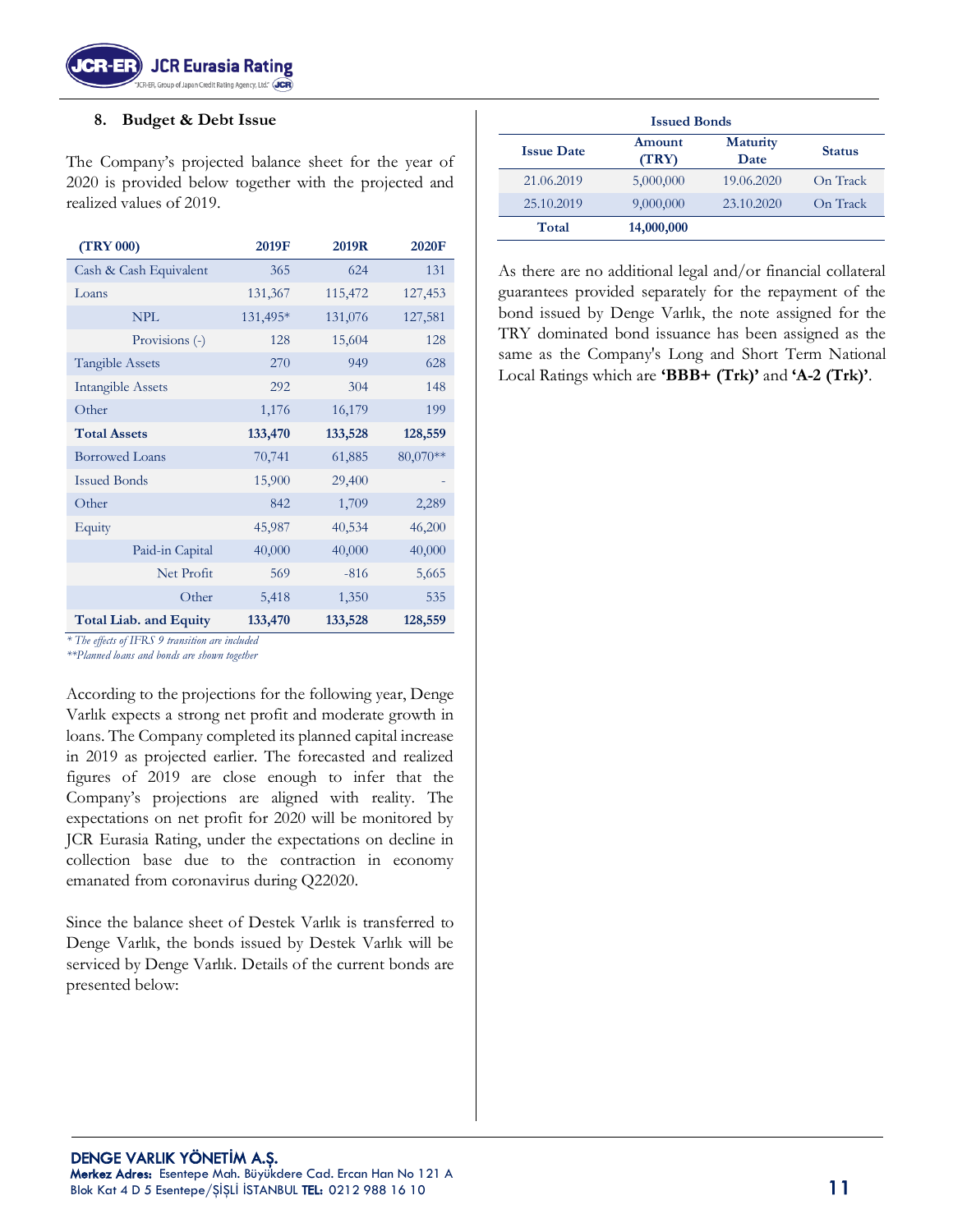

#### **8. Budget & Debt Issue**

The Company's projected balance sheet for the year of 2020 is provided below together with the projected and realized values of 2019.

| <b>(TRY 000)</b>                                      | 2019F                                              | 2019R   | 2020F    |  |
|-------------------------------------------------------|----------------------------------------------------|---------|----------|--|
| Cash & Cash Equivalent                                | 365                                                | 624     | 131      |  |
| Loans                                                 | 131,367                                            | 115,472 | 127,453  |  |
| <b>NPL</b>                                            | 131,495*                                           | 131,076 | 127,581  |  |
| Provisions (-)                                        | 128                                                | 15,604  | 128      |  |
| <b>Tangible Assets</b>                                | 270                                                | 949     | 628      |  |
| <b>Intangible Assets</b>                              | 292                                                | 304     | 148      |  |
| Other                                                 | 1,176                                              | 16,179  | 199      |  |
| <b>Total Assets</b>                                   | 133,470                                            | 133,528 | 128,559  |  |
| <b>Borrowed Loans</b>                                 | 70,741                                             | 61,885  | 80,070** |  |
| <b>Issued Bonds</b>                                   | 15,900                                             | 29,400  |          |  |
| Other                                                 | 842                                                | 1,709   | 2,289    |  |
| Equity                                                | 45,987                                             | 40,534  | 46,200   |  |
| Paid-in Capital                                       | 40,000                                             | 40,000  | 40,000   |  |
| Net Profit                                            | 569                                                | $-816$  | 5,665    |  |
| Other                                                 | 5,418                                              | 1,350   | 535      |  |
| <b>Total Liab. and Equity</b><br>with me currical was | 133,470<br>$\cdot$ $\cdot$ $\cdot$ $\cdot$ $\cdot$ | 133,528 | 128,559  |  |

*\* The effects of IFRS 9 transition are included*

*\*\*Planned loans and bonds are shown together*

According to the projections for the following year, Denge Varlık expects a strong net profit and moderate growth in loans. The Company completed its planned capital increase in 2019 as projected earlier. The forecasted and realized figures of 2019 are close enough to infer that the Company's projections are aligned with reality. The expectations on net profit for 2020 will be monitored by JCR Eurasia Rating, under the expectations on decline in collection base due to the contraction in economy emanated from coronavirus during Q22020.

Since the balance sheet of Destek Varlık is transferred to Denge Varlık, the bonds issued by Destek Varlık will be serviced by Denge Varlık. Details of the current bonds are presented below:

| <b>Issued Bonds</b> |                 |                         |               |  |  |  |  |  |
|---------------------|-----------------|-------------------------|---------------|--|--|--|--|--|
| <b>Issue Date</b>   | Amount<br>(TRY) | <b>Maturity</b><br>Date | <b>Status</b> |  |  |  |  |  |
| 21.06.2019          | 5,000,000       | 19.06.2020              | On Track      |  |  |  |  |  |
| 25.10.2019          | 9,000,000       | 23.10.2020              | On Track      |  |  |  |  |  |
| Total               | 14,000,000      |                         |               |  |  |  |  |  |

As there are no additional legal and/or financial collateral guarantees provided separately for the repayment of the bond issued by Denge Varlık, the note assigned for the TRY dominated bond issuance has been assigned as the same as the Company's Long and Short Term National Local Ratings which are **'BBB+ (Trk)'** and **'A-2 (Trk)'**.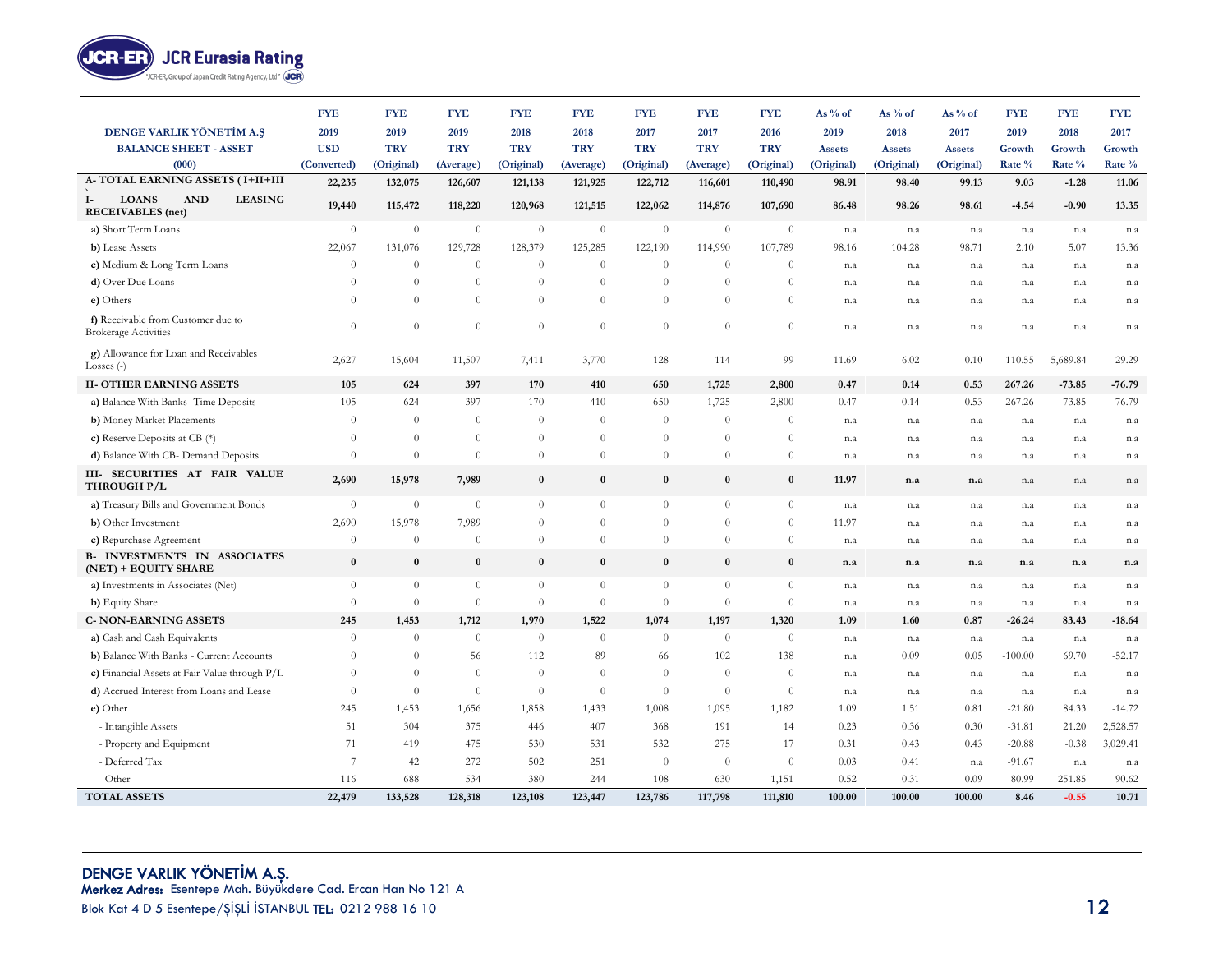

|                                                                                  | <b>FYE</b>     | <b>FYE</b> | <b>FYE</b> | <b>FYE</b>     | <b>FYE</b>       | <b>FYE</b>       | <b>FYE</b> | <b>FYE</b>     | As % of    | As $%$ of     | As $%$ of     | <b>FYE</b> | <b>FYE</b> | <b>FYE</b> |
|----------------------------------------------------------------------------------|----------------|------------|------------|----------------|------------------|------------------|------------|----------------|------------|---------------|---------------|------------|------------|------------|
| DENGE VARLIK YÖNETİM A.Ş                                                         | 2019           | 2019       | 2019       | 2018           | 2018             | 2017             | 2017       | 2016           | 2019       | 2018          | 2017          | 2019       | 2018       | 2017       |
| <b>BALANCE SHEET - ASSET</b>                                                     | <b>USD</b>     | <b>TRY</b> | <b>TRY</b> | <b>TRY</b>     | <b>TRY</b>       | <b>TRY</b>       | <b>TRY</b> | <b>TRY</b>     | Assets     | <b>Assets</b> | <b>Assets</b> | Growth     | Growth     | Growth     |
| (000)                                                                            | (Converted)    | (Original) | (Average)  | (Original)     | (Average)        | (Original)       | (Average)  | (Original)     | (Original) | (Original)    | (Original)    | Rate %     | Rate %     | Rate %     |
| A-TOTAL EARNING ASSETS (I+II+III                                                 | 22,235         | 132,075    | 126,607    | 121,138        | 121,925          | 122,712          | 116,601    | 110,490        | 98.91      | 98.40         | 99.13         | 9.03       | $-1.28$    | 11.06      |
| <b>LOANS</b><br><b>AND</b><br><b>LEASING</b><br>$I-$<br><b>RECEIVABLES</b> (net) | 19,440         | 115,472    | 118,220    | 120,968        | 121,515          | 122,062          | 114,876    | 107,690        | 86.48      | 98.26         | 98.61         | $-4.54$    | $-0.90$    | 13.35      |
| a) Short Term Loans                                                              | $\theta$       | $\theta$   | $\theta$   | $\theta$       | $\theta$         | $\boldsymbol{0}$ | $\theta$   | $\overline{0}$ | n.a        | n.a           | n.a           | n.a        | n.a        | n.a        |
| b) Lease Assets                                                                  | 22,067         | 131,076    | 129,728    | 128,379        | 125,285          | 122,190          | 114,990    | 107,789        | 98.16      | 104.28        | 98.71         | 2.10       | 5.07       | 13.36      |
| c) Medium & Long Term Loans                                                      | $\theta$       | $\theta$   | $\Omega$   | $\theta$       | $\theta$         | $\theta$         | $\theta$   | $\theta$       | n.a        | n.a           | n.a           | n.a        | n.a        | n.a        |
| d) Over Due Loans                                                                | $\Omega$       | $\theta$   | $\Omega$   | $\theta$       | $\theta$         | $\theta$         | $\theta$   | $\Omega$       | n.a        | n.a           | n.a           | n.a        | n.a        | n.a        |
| e) Others                                                                        | $\theta$       | $\theta$   | $\Omega$   | $\theta$       | $\theta$         | $\theta$         | $\theta$   | $\theta$       | n.a        | n.a           | n.a           | n.a        | n.a        | n.a        |
| f) Receivable from Customer due to<br><b>Brokerage Activities</b>                | $\theta$       | $\theta$   | $\theta$   | $\theta$       | $\theta$         | $\theta$         | $\theta$   | $\theta$       | n.a        | n.a           | n.a           | n.a        | n.a        | n.a        |
| g) Allowance for Loan and Receivables<br>Losses $(-)$                            | $-2,627$       | $-15,604$  | $-11,507$  | $-7,411$       | $-3,770$         | $-128$           | $-114$     | $-99$          | $-11.69$   | $-6.02$       | $-0.10$       | 110.55     | 5,689.84   | 29.29      |
| <b>II- OTHER EARNING ASSETS</b>                                                  | 105            | 624        | 397        | 170            | 410              | 650              | 1,725      | 2,800          | 0.47       | 0.14          | 0.53          | 267.26     | $-73.85$   | $-76.79$   |
| a) Balance With Banks - Time Deposits                                            | 105            | 624        | 397        | 170            | 410              | 650              | 1,725      | 2,800          | 0.47       | 0.14          | 0.53          | 267.26     | $-73.85$   | $-76.79$   |
| b) Money Market Placements                                                       | $\theta$       | $\theta$   | $\theta$   | $\theta$       | $\theta$         | $\theta$         | $\theta$   | $\overline{0}$ | n.a        | n.a           | n.a           | n.a        | n.a        | n.a        |
| c) Reserve Deposits at CB $(*)$                                                  | $\Omega$       | $\theta$   | $\Omega$   | $\theta$       | $\theta$         | $\Omega$         | $\theta$   | $\theta$       | n.a        | n.a           | n.a           | n.a        | n.a        | n.a        |
| d) Balance With CB- Demand Deposits                                              | $\theta$       | $\theta$   | $\theta$   | $\theta$       | $\boldsymbol{0}$ | $\theta$         | $\theta$   | $\theta$       | n.a        | n.a           | n.a           | n.a        | n.a        | n.a        |
| III- SECURITIES AT FAIR VALUE<br>THROUGH P/L                                     | 2,690          | 15,978     | 7,989      | $\bf{0}$       | $\bf{0}$         | $\bf{0}$         | $\bf{0}$   | $\bf{0}$       | 11.97      | n.a           | n.a           | n.a        | n.a        | n.a        |
| a) Treasury Bills and Government Bonds                                           | $\theta$       | $\theta$   | $\theta$   | $\theta$       | $\theta$         | $\overline{0}$   | $\theta$   | $\theta$       | n.a        | n.a           | n.a           | n.a        | n.a        | n.a        |
| b) Other Investment                                                              | 2,690          | 15,978     | 7,989      | $\overline{0}$ | $\theta$         | $\Omega$         | $\Omega$   | $\theta$       | 11.97      | n.a           | n.a           | n.a        | n.a        | n.a        |
| c) Repurchase Agreement                                                          | $\theta$       | $\theta$   | $\theta$   | $\theta$       | $\theta$         | $\theta$         | $\theta$   | $\theta$       | n.a        | n.a           | n.a           | n.a        | n.a        | n.a        |
| <b>B- INVESTMENTS IN ASSOCIATES</b><br>(NET) + EQUITY SHARE                      | $\bf{0}$       | $\bf{0}$   | $\bf{0}$   | $\bf{0}$       | $\bf{0}$         | $\bf{0}$         | $\bf{0}$   | $\bf{0}$       | n.a        | n.a           | n.a           | n.a        | n.a        | n.a        |
| a) Investments in Associates (Net)                                               | $\theta$       | $\theta$   | $\theta$   | $\theta$       | $\theta$         | $\overline{0}$   | $\theta$   | $\theta$       | n.a        | n.a           | n.a           | n.a        | n.a        | n.a        |
| b) Equity Share                                                                  | $\theta$       | $\theta$   | $\theta$   | $\theta$       | $\theta$         | $\theta$         | $\theta$   | $\theta$       | n.a        | n.a           | n.a           | n.a        | n.a        | n.a        |
| <b>C-NON-EARNING ASSETS</b>                                                      | 245            | 1,453      | 1,712      | 1,970          | 1,522            | 1,074            | 1,197      | 1,320          | 1.09       | 1.60          | 0.87          | $-26.24$   | 83.43      | $-18.64$   |
| a) Cash and Cash Equivalents                                                     | $\theta$       | $\theta$   | $\theta$   | $\theta$       | $\theta$         | $\theta$         | $\theta$   | $\overline{0}$ | n.a        | n.a           | n.a           | n.a        | n.a        | n.a        |
| b) Balance With Banks - Current Accounts                                         | $\theta$       | $\theta$   | 56         | 112            | 89               | 66               | 102        | 138            | n.a        | 0.09          | 0.05          | $-100.00$  | 69.70      | $-52.17$   |
| c) Financial Assets at Fair Value through P/L                                    | $\theta$       | $\theta$   | $\theta$   | $\theta$       | $\theta$         | $\theta$         | $\theta$   | $\theta$       | n.a        | n.a           | n.a           | n.a        | n.a        | n.a        |
| d) Accrued Interest from Loans and Lease                                         | $\theta$       | $\theta$   | $\theta$   | $\theta$       | $\theta$         | $\overline{0}$   | $\theta$   | $\theta$       | n.a        | n.a           | n.a           | n.a        | n.a        | n.a        |
| e) Other                                                                         | 245            | 1,453      | 1,656      | 1,858          | 1,433            | 1,008            | 1,095      | 1,182          | 1.09       | 1.51          | 0.81          | $-21.80$   | 84.33      | $-14.72$   |
| - Intangible Assets                                                              | 51             | 304        | 375        | 446            | 407              | 368              | 191        | 14             | 0.23       | 0.36          | 0.30          | $-31.81$   | 21.20      | 2,528.57   |
| - Property and Equipment                                                         | 71             | 419        | 475        | 530            | 531              | 532              | 275        | 17             | 0.31       | 0.43          | 0.43          | $-20.88$   | $-0.38$    | 3,029.41   |
| - Deferred Tax                                                                   | $\overline{7}$ | 42         | 272        | 502            | 251              | $\Omega$         | $\theta$   | $\theta$       | 0.03       | 0.41          | n.a           | $-91.67$   | n.a        | n.a        |
| - Other                                                                          | 116            | 688        | 534        | 380            | 244              | 108              | 630        | 1,151          | 0.52       | 0.31          | 0.09          | 80.99      | 251.85     | $-90.62$   |
| <b>TOTAL ASSETS</b>                                                              | 22,479         | 133,528    | 128,318    | 123,108        | 123,447          | 123,786          | 117,798    | 111,810        | 100.00     | 100.00        | 100.00        | 8.46       | $-0.55$    | 10.71      |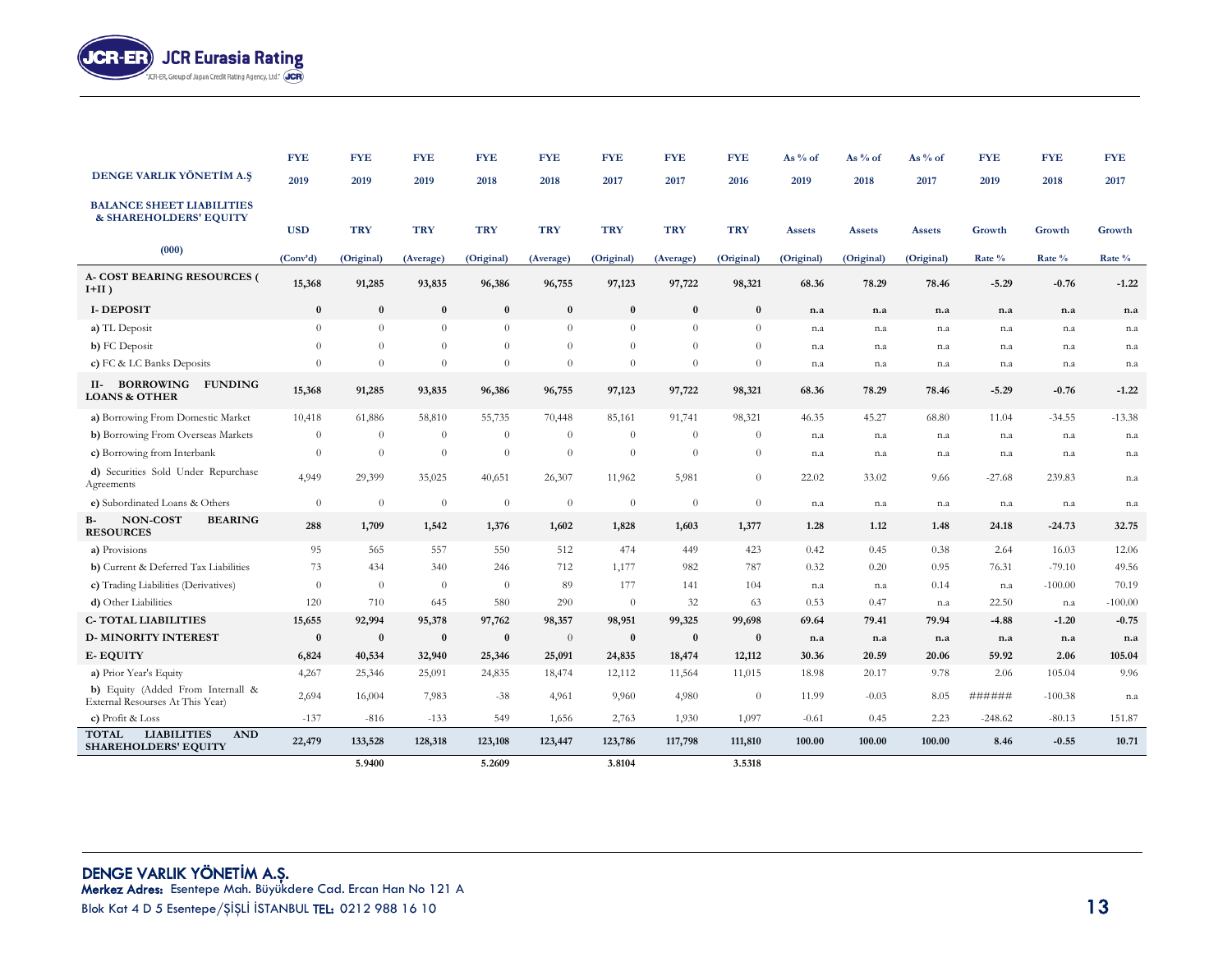

|                                                                                 | <b>FYE</b>   | <b>FYE</b>     | <b>FYE</b> | <b>FYE</b>     | <b>FYE</b>     | <b>FYE</b> | <b>FYE</b> | <b>FYE</b> | As % of    | As $%$ of  | As % of       | <b>FYE</b> | <b>FYE</b> | <b>FYE</b> |
|---------------------------------------------------------------------------------|--------------|----------------|------------|----------------|----------------|------------|------------|------------|------------|------------|---------------|------------|------------|------------|
| DENGE VARLIK YÖNETİM A.S                                                        | 2019         | 2019           | 2019       | 2018           | 2018           | 2017       | 2017       | 2016       | 2019       | 2018       | 2017          | 2019       | 2018       | 2017       |
| <b>BALANCE SHEET LIABILITIES</b><br>& SHAREHOLDERS' EQUITY                      | <b>USD</b>   | <b>TRY</b>     | <b>TRY</b> | <b>TRY</b>     | <b>TRY</b>     | <b>TRY</b> | <b>TRY</b> | <b>TRY</b> | Assets     | Assets     | <b>Assets</b> | Growth     | Growth     | Growth     |
| (000)                                                                           | (Conv'd)     | (Original)     | (Average)  | (Original)     | (Average)      | (Original) | (Average)  | (Original) | (Original) | (Original) | (Original)    | Rate %     | Rate %     | Rate %     |
| <b>A- COST BEARING RESOURCES (</b><br>$I+II)$                                   | 15,368       | 91,285         | 93,835     | 96,386         | 96,755         | 97,123     | 97,722     | 98,321     | 68.36      | 78.29      | 78.46         | $-5.29$    | $-0.76$    | $-1.22$    |
| <b>I-DEPOSIT</b>                                                                | $\bf{0}$     | $\bf{0}$       | $\bf{0}$   | $\bf{0}$       | $\bf{0}$       | $\bf{0}$   | $\bf{0}$   | $\bf{0}$   | n.a        | n.a        | n.a           | n.a        | n.a        | n.a        |
| a) TL Deposit                                                                   | $\theta$     | $\overline{0}$ | $\theta$   | $\theta$       | $\theta$       | $\theta$   | $\theta$   | $\theta$   | n.a        | n.a        | n.a           | n.a        | n.a        | n.a        |
| b) FC Deposit                                                                   | $\Omega$     | $\overline{0}$ | $\theta$   | $\theta$       | $\theta$       | $\theta$   | $\theta$   | $\theta$   | n.a        | n.a        | n.a           | n.a        | n.a        | n.a        |
| c) FC & LC Banks Deposits                                                       | $\Omega$     | $\overline{0}$ | $\theta$   | $\theta$       | $\theta$       | $\Omega$   | $\theta$   | $\theta$   | n.a        | n.a        | n.a           | n.a        | n.a        | n.a        |
| BORROWING FUNDING<br>II-<br><b>LOANS &amp; OTHER</b>                            | 15,368       | 91,285         | 93,835     | 96,386         | 96,755         | 97,123     | 97,722     | 98,321     | 68.36      | 78.29      | 78.46         | $-5.29$    | $-0.76$    | $-1.22$    |
| a) Borrowing From Domestic Market                                               | 10,418       | 61,886         | 58,810     | 55,735         | 70,448         | 85,161     | 91,741     | 98,321     | 46.35      | 45.27      | 68.80         | 11.04      | $-34.55$   | $-13.38$   |
| b) Borrowing From Overseas Markets                                              | $\theta$     | $\theta$       | $\theta$   | $\theta$       | $\theta$       | $\theta$   | $\theta$   | $\theta$   | n.a        | n.a        | n.a           | n.a        | n.a        | n.a        |
| c) Borrowing from Interbank                                                     | $\theta$     | $\overline{0}$ | $\theta$   | $\theta$       | $\theta$       | $\theta$   | $\theta$   | $\theta$   | n.a        | n.a        | n.a           | n.a        | n.a        | n.a        |
| d) Securities Sold Under Repurchase<br>Agreements                               | 4,949        | 29,399         | 35,025     | 40,651         | 26,307         | 11,962     | 5,981      | $\theta$   | 22.02      | 33.02      | 9.66          | $-27.68$   | 239.83     | n.a        |
| e) Subordinated Loans & Others                                                  | $\theta$     | $\overline{0}$ | $\theta$   | $\theta$       | $\theta$       | $\theta$   | $\theta$   | $\theta$   | n.a        | n.a        | n.a           | n.a        | n.a        | n.a        |
| <b>NON-COST</b><br><b>BEARING</b><br>В-<br><b>RESOURCES</b>                     | 288          | 1,709          | 1,542      | 1,376          | 1,602          | 1,828      | 1,603      | 1,377      | 1.28       | 1.12       | 1.48          | 24.18      | $-24.73$   | 32.75      |
| a) Provisions                                                                   | 95           | 565            | 557        | 550            | 512            | 474        | 449        | 423        | 0.42       | 0.45       | 0.38          | 2.64       | 16.03      | 12.06      |
| b) Current & Deferred Tax Liabilities                                           | 73           | 434            | 340        | 246            | 712            | 1,177      | 982        | 787        | 0.32       | 0.20       | 0.95          | 76.31      | $-79.10$   | 49.56      |
| c) Trading Liabilities (Derivatives)                                            | $\theta$     | $\overline{0}$ | $\theta$   | $\overline{0}$ | 89             | 177        | 141        | 104        | n.a        | n.a        | 0.14          | n.a        | $-100.00$  | 70.19      |
| d) Other Liabilities                                                            | 120          | 710            | 645        | 580            | 290            | $\theta$   | 32         | 63         | 0.53       | 0.47       | n.a           | 22.50      | n.a        | $-100.00$  |
| <b>C-TOTAL LIABILITIES</b>                                                      | 15,655       | 92,994         | 95,378     | 97,762         | 98,357         | 98,951     | 99,325     | 99,698     | 69.64      | 79.41      | 79.94         | $-4.88$    | $-1.20$    | $-0.75$    |
| <b>D-MINORITY INTEREST</b>                                                      | $\mathbf{0}$ | $\bf{0}$       | $\bf{0}$   | $\bf{0}$       | $\overline{0}$ | $\bf{0}$   | $\bf{0}$   | $\bf{0}$   | n.a        | n.a        | n.a           | n.a        | n.a        | n.a        |
| <b>E-EQUITY</b>                                                                 | 6,824        | 40,534         | 32,940     | 25,346         | 25,091         | 24,835     | 18,474     | 12,112     | 30.36      | 20.59      | 20.06         | 59.92      | 2.06       | 105.04     |
| a) Prior Year's Equity                                                          | 4,267        | 25,346         | 25,091     | 24,835         | 18,474         | 12,112     | 11,564     | 11,015     | 18.98      | 20.17      | 9.78          | 2.06       | 105.04     | 9.96       |
| b) Equity (Added From Internall &<br>External Resourses At This Year)           | 2,694        | 16,004         | 7,983      | $-38$          | 4,961          | 9,960      | 4,980      | $\theta$   | 11.99      | $-0.03$    | 8.05          | ######     | $-100.38$  | n.a        |
| c) Profit & Loss                                                                | $-137$       | $-816$         | $-133$     | 549            | 1,656          | 2,763      | 1,930      | 1,097      | $-0.61$    | 0.45       | 2.23          | $-248.62$  | $-80.13$   | 151.87     |
| <b>LIABILITIES</b><br><b>AND</b><br><b>TOTAL</b><br><b>SHAREHOLDERS' EQUITY</b> | 22,479       | 133,528        | 128,318    | 123,108        | 123,447        | 123,786    | 117,798    | 111,810    | 100.00     | 100.00     | 100.00        | 8.46       | $-0.55$    | 10.71      |
|                                                                                 |              | 5.9400         |            | 5.2609         |                | 3.8104     |            | 3.5318     |            |            |               |            |            |            |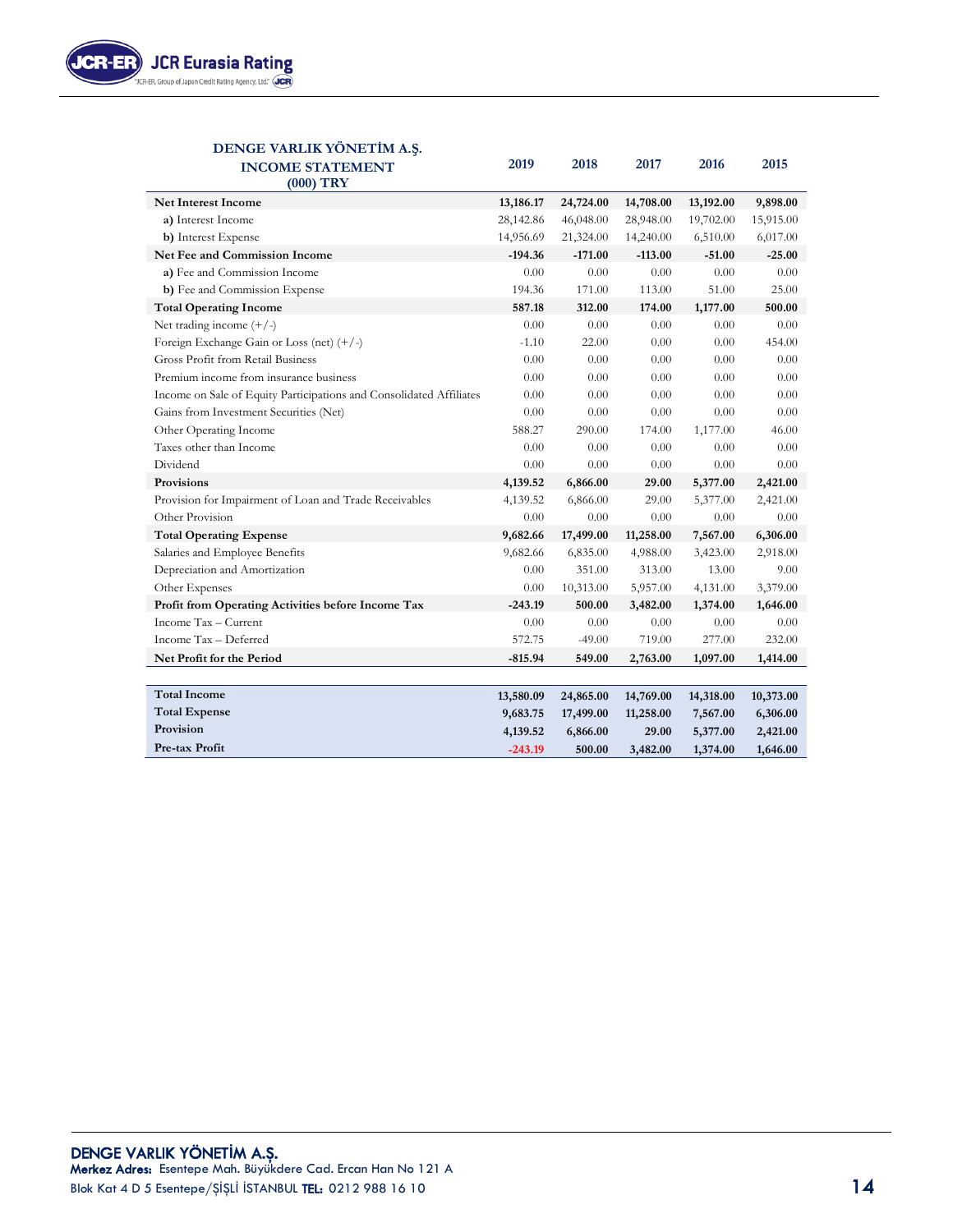

#### **DENGE VARLIK YÖNETİM A.Ş. INCOME STATEMENT 2019 2018 2017 2016 2015 (000) TRY Net Interest Income 13,186.17 24,724.00 14,708.00 13,192.00 9,898.00 a)** Interest Income 28,142.86 46,048.00 28,948.00 19,702.00 15,915.00 **b)** Interest Expense 21,324.00 14,240.00 6,510.00 6,017.00 **Net Fee and Commission Income -194.36 -171.00 -113.00 -51.00 -25.00 a)** Fee and Commission Income 0.00 0.00 0.00 0.00 0.00 0.00 0.00 **b)** Fee and Commission Expense 194.36 171.00 113.00 51.00 25.00 **Total Operating Income 587.18 312.00 174.00 1,177.00 500.00**  Net trading income (+/-) 0.00 0.00 0.00 0.00 0.00 0.00 0.00 Foreign Exchange Gain or Loss (net) (+/-) -1.10 22.00 0.00 0.00 454.00 Gross Profit from Retail Business 0.00 0.00 0.00 0.00 0.00 Premium income from insurance business 0.00 0.00 0.00 0.00 0.00 0.00 0.00 Income on Sale of Equity Participations and Consolidated Affiliates  $0.00$  0.00 0.00 0.00 0.00 0.00 Gains from Investment Securities (Net) 0.00 0.00 0.00 0.00 0.00 0.00 0.00 Other Operating Income 588.27 290.00 174.00 1,177.00 46.00 Taxes other than Income 0.00 0.00 0.00 0.00 0.00 Dividend 0.00 0.00 0.00 0.00 0.00 **Provisions 4,139.52 6,866.00 29.00 5,377.00 2,421.00**  Provision for Impairment of Loan and Trade Receivables 4,139.52 6,866.00 29.00 5,377.00 2,421.00 Other Provision 0.00 0.00 0.00 0.00 0.00 0.00 0.00 **Total Operating Expense 9,682.66 17,499.00 11,258.00 7,567.00 6,306.00**  Salaries and Employee Benefits 9,682.66 6,835.00 4,988.00 3,423.00 2,918.00 Depreciation and Amortization 0.00 351.00 313.00 13.00 9.00 Other Expenses 0.00 10,313.00 5,957.00 4,131.00 3,379.00 **Profit from Operating Activities before Income Tax -243.19 500.00 3,482.00 1,374.00 1,646.00**  Income Tax – Current 0.00 0.00 0.00 0.00 0.00 Income Tax – Deferred 572.75 -49.00 719.00 277.00 232.00

| <b>Total Income</b>  | 13,580.09 | 24,865.00 | 14,769.00 | 14,318.00 | 10,373.00 |
|----------------------|-----------|-----------|-----------|-----------|-----------|
| <b>Total Expense</b> | 9,683.75  | 17,499.00 | 11,258.00 | 7.567.00  | 6,306.00  |
| Provision            | 4,139.52  | 6,866.00  | 29.00     | 5,377.00  | 2,421.00  |
| Pre-tax Profit       | $-243.19$ | 500.00    | 3,482.00  | 1,374.00  | 1,646.00  |
|                      |           |           |           |           |           |

**Net Profit for the Period -815.94 549.00 2,763.00 1,097.00 1,414.00**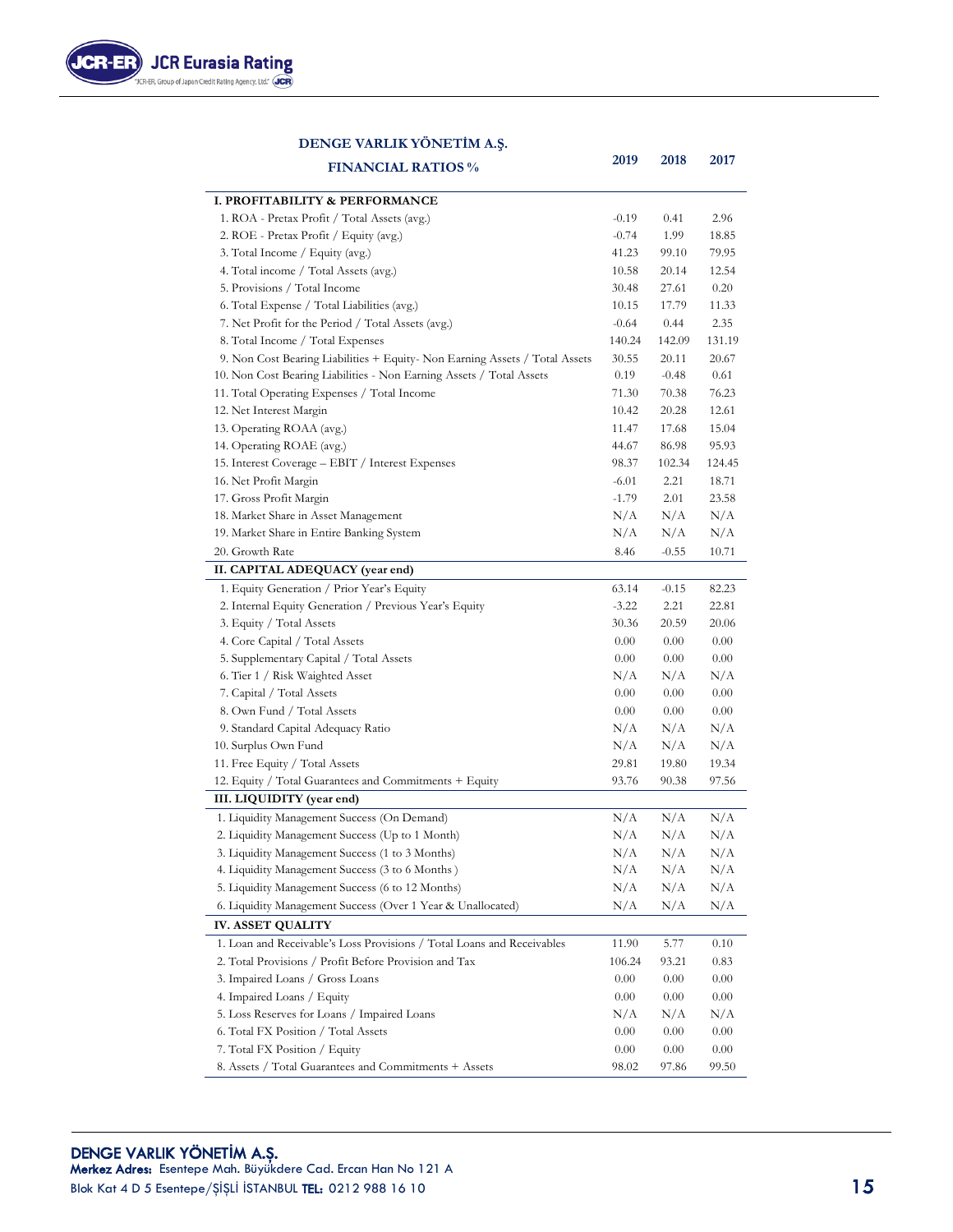

#### **DENGE VARLIK YÖNETİM A.Ş.**

| <b>FINANCIAL RATIOS %</b>                                                   | 2019    | 2018     | 2017     |
|-----------------------------------------------------------------------------|---------|----------|----------|
| I. PROFITABILITY & PERFORMANCE                                              |         |          |          |
| 1. ROA - Pretax Profit / Total Assets (avg.)                                | $-0.19$ | 0.41     | 2.96     |
| 2. ROE - Pretax Profit / Equity (avg.)                                      | $-0.74$ | 1.99     | 18.85    |
| 3. Total Income / Equity (avg.)                                             | 41.23   | 99.10    | 79.95    |
| 4. Total income / Total Assets (avg.)                                       | 10.58   | 20.14    | 12.54    |
| 5. Provisions / Total Income                                                | 30.48   | 27.61    | 0.20     |
| 6. Total Expense / Total Liabilities (avg.)                                 | 10.15   | 17.79    | 11.33    |
| 7. Net Profit for the Period / Total Assets (avg.)                          | $-0.64$ | 0.44     | 2.35     |
| 8. Total Income / Total Expenses                                            | 140.24  | 142.09   | 131.19   |
| 9. Non Cost Bearing Liabilities + Equity- Non Earning Assets / Total Assets | 30.55   | 20.11    | 20.67    |
| 10. Non Cost Bearing Liabilities - Non Earning Assets / Total Assets        | 0.19    | $-0.48$  | 0.61     |
| 11. Total Operating Expenses / Total Income                                 | 71.30   | 70.38    | 76.23    |
| 12. Net Interest Margin                                                     | 10.42   | 20.28    | 12.61    |
| 13. Operating ROAA (avg.)                                                   | 11.47   | 17.68    | 15.04    |
| 14. Operating ROAE (avg.)                                                   | 44.67   | 86.98    | 95.93    |
| 15. Interest Coverage - EBIT / Interest Expenses                            | 98.37   | 102.34   | 124.45   |
| 16. Net Profit Margin                                                       | $-6.01$ | 2.21     | 18.71    |
| 17. Gross Profit Margin                                                     | $-1.79$ | 2.01     | 23.58    |
| 18. Market Share in Asset Management                                        | N/A     | N/A      | N/A      |
| 19. Market Share in Entire Banking System                                   | N/A     | N/A      | N/A      |
| 20. Growth Rate                                                             | 8.46    | $-0.55$  | 10.71    |
| II. CAPITAL ADEQUACY (year end)                                             |         |          |          |
| 1. Equity Generation / Prior Year's Equity                                  | 63.14   | $-0.15$  | 82.23    |
| 2. Internal Equity Generation / Previous Year's Equity                      | $-3.22$ | 2.21     | 22.81    |
| 3. Equity / Total Assets                                                    | 30.36   | 20.59    | 20.06    |
| 4. Core Capital / Total Assets                                              | 0.00    | 0.00     | $0.00\,$ |
| 5. Supplementary Capital / Total Assets                                     | 0.00    | 0.00     | $0.00\,$ |
| 6. Tier 1 / Risk Waighted Asset                                             | N/A     | N/A      | N/A      |
| 7. Capital / Total Assets                                                   | 0.00    | 0.00     | $0.00\,$ |
| 8. Own Fund / Total Assets                                                  | 0.00    | 0.00     | $0.00\,$ |
| 9. Standard Capital Adequacy Ratio                                          | N/A     | N/A      | N/A      |
| 10. Surplus Own Fund                                                        | N/A     | N/A      | N/A      |
| 11. Free Equity / Total Assets                                              | 29.81   | 19.80    | 19.34    |
| 12. Equity / Total Guarantees and Commitments + Equity                      | 93.76   | 90.38    | 97.56    |
| III. LIQUIDITY (year end)                                                   |         |          |          |
| 1. Liquidity Management Success (On Demand)                                 | N/A     | N/A      | N/A      |
| 2. Liquidity Management Success (Up to 1 Month)                             | N/A     | N/A      | N/A      |
| 3. Liquidity Management Success (1 to 3 Months)                             | N/A     | N/A      | N/A      |
| 4. Liquidity Management Success (3 to 6 Months)                             | N/A     | N/A      | N/A      |
| 5. Liquidity Management Success (6 to 12 Months)                            | N/A     | N/A      | N/A      |
| 6. Liquidity Management Success (Over 1 Year & Unallocated)                 | N/A     | N/A      | N/A      |
| <b>IV. ASSET QUALITY</b>                                                    |         |          |          |
| 1. Loan and Receivable's Loss Provisions / Total Loans and Receivables      | 11.90   | 5.77     | 0.10     |
| 2. Total Provisions / Profit Before Provision and Tax                       | 106.24  | 93.21    | 0.83     |
| 3. Impaired Loans / Gross Loans                                             | 0.00    | $0.00\,$ | 0.00     |
| 4. Impaired Loans / Equity                                                  | 0.00    | 0.00     | 0.00     |
| 5. Loss Reserves for Loans / Impaired Loans                                 | N/A     | N/A      | N/A      |
| 6. Total FX Position / Total Assets                                         | 0.00    | $0.00\,$ | 0.00     |
| 7. Total FX Position / Equity                                               | 0.00    | 0.00     | 0.00     |
| 8. Assets / Total Guarantees and Commitments + Assets                       | 98.02   | 97.86    | 99.50    |